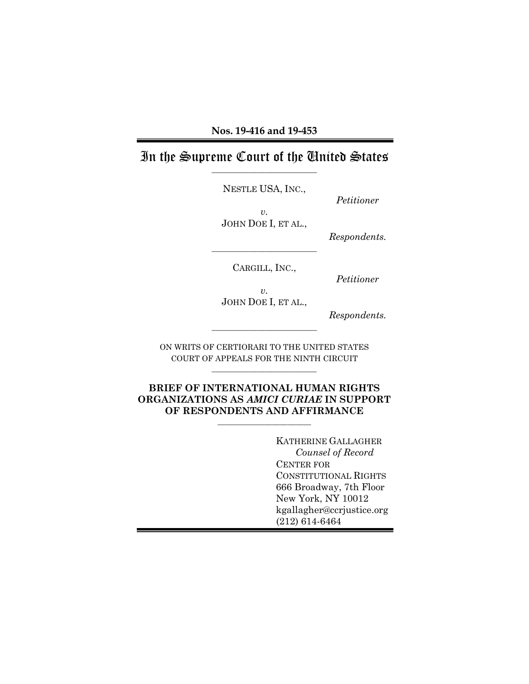#### In the Supreme Court of the United States \_\_\_\_\_\_\_\_\_\_\_\_\_\_\_\_\_\_\_\_\_\_\_\_\_\_\_

NESTLE USA, INC.,

*Petitioner*

*v.* JOHN DOE I, ET AL.,

*Respondents.*

CARGILL, INC.,

\_\_\_\_\_\_\_\_\_\_\_\_\_\_\_\_\_\_\_\_\_\_\_\_\_\_\_

*Petitioner*

*v.* JOHN DOE I, ET AL.,

*Respondents.*

ON WRITS OF CERTIORARI TO THE UNITED STATES COURT OF APPEALS FOR THE NINTH CIRCUIT \_\_\_\_\_\_\_\_\_\_\_\_\_\_\_\_\_\_\_\_\_\_\_\_\_\_\_

\_\_\_\_\_\_\_\_\_\_\_\_\_\_\_\_\_\_\_\_\_\_\_\_\_\_\_

**BRIEF OF INTERNATIONAL HUMAN RIGHTS ORGANIZATIONS AS** *AMICI CURIAE* **IN SUPPORT OF RESPONDENTS AND AFFIRMANCE**

 $\_$ 

KATHERINE GALLAGHER *Counsel of Record* CENTER FOR CONSTITUTIONAL RIGHTS 666 Broadway, 7th Floor New York, NY 10012 kgallagher@ccrjustice.org (212) 614-6464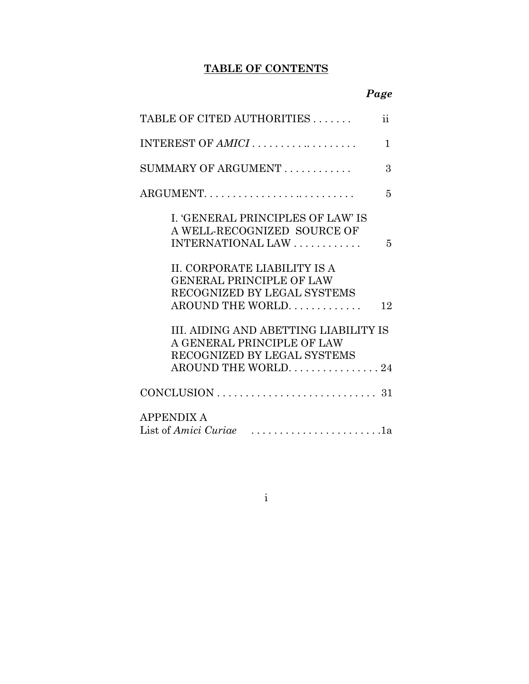### **TABLE OF CONTENTS**

| TABLE OF CITED AUTHORITIES                                                                                               | $\ddot{\rm ii}$ |
|--------------------------------------------------------------------------------------------------------------------------|-----------------|
| INTEREST OF AMICI                                                                                                        | 1               |
| SUMMARY OF ARGUMENT                                                                                                      | 3               |
| ARGUMENT                                                                                                                 | 5               |
| I. 'GENERAL PRINCIPLES OF LAW' IS<br>A WELL-RECOGNIZED SOURCE OF<br>INTERNATIONAL LAW                                    | 5               |
| II. CORPORATE LIABILITY IS A<br><b>GENERAL PRINCIPLE OF LAW</b><br>RECOGNIZED BY LEGAL SYSTEMS<br>AROUND THE WORLD.      | 12              |
| III. AIDING AND ABETTING LIABILITY IS<br>A GENERAL PRINCIPLE OF LAW<br>RECOGNIZED BY LEGAL SYSTEMS<br>AROUND THE WORLD24 |                 |
|                                                                                                                          |                 |
| <b>APPENDIX A</b><br>List of Amici Curiae                                                                                |                 |

i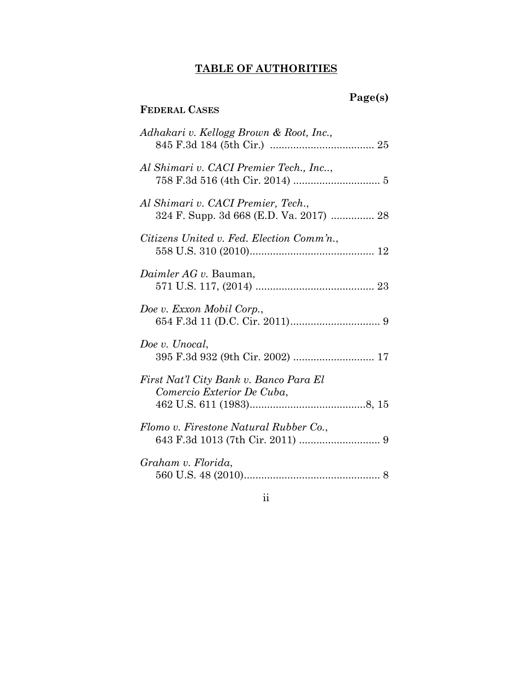#### **TABLE OF AUTHORITIES**

**FEDERAL CASES**

### **Page(s)**

# *Adhakari v. Kellogg Brown & Root, Inc.,*  845 F.3d 184 (5th Cir.) .................................... 25 *Al Shimari v. CACI Premier Tech., Inc..*, 758 F.3d 516 (4th Cir. 2014) .............................. 5 *Al Shimari v. CACI Premier, Tech*., 324 F. Supp. 3d 668 (E.D. Va. 2017) ............... 28 *Citizens United v. Fed. Election Comm'n.*, 558 U.S. 310 (2010)........................................... 12 *Daimler AG v.* Bauman, 571 U.S. 117, (2014) ......................................... 23 *Doe v. Exxon Mobil Corp.*, 654 F.3d 11 (D.C. Cir. 2011)............................... 9 *Doe v. Unocal*, 395 F.3d 932 (9th Cir. 2002) ............................ 17 *First Nat'l City Bank v. Banco Para El Comercio Exterior De Cuba*, 462 U.S. 611 (1983)........................................8, 15 *Flomo v. Firestone Natural Rubber Co.*, 643 F.3d 1013 (7th Cir. 2011) ............................ 9 *Graham v. Florida*, 560 U.S. 48 (2010)............................................... 8

#### ii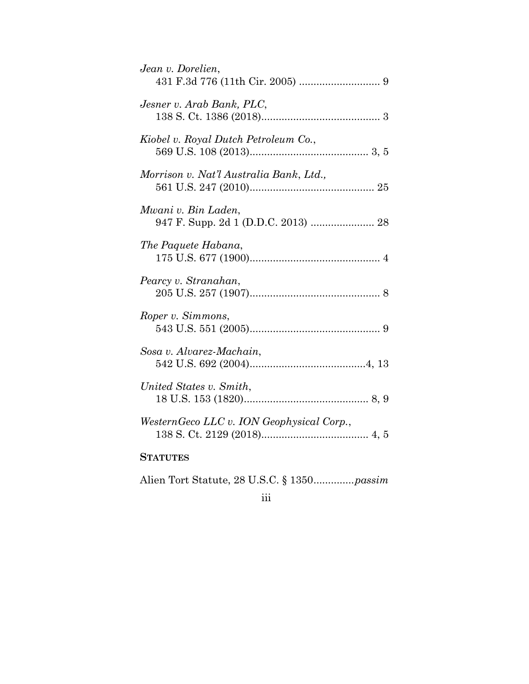| Jean v. Dorelien,                                          |
|------------------------------------------------------------|
| Jesner v. Arab Bank, PLC,                                  |
| Kiobel v. Royal Dutch Petroleum Co.,                       |
| Morrison v. Nat'l Australia Bank, Ltd.,                    |
| Mwani v. Bin Laden,<br>947 F. Supp. 2d 1 (D.D.C. 2013)  28 |
| The Paquete Habana,                                        |
| Pearcy v. Stranahan,                                       |
| Roper v. Simmons,                                          |
| Sosa v. Alvarez-Machain,                                   |
| United States v. Smith,                                    |
| WesternGeco LLC v. ION Geophysical Corp.,                  |
| <b>STATUTES</b>                                            |

Alien Tort Statute, 28 U.S.C. § 1350..............*passim*

### iii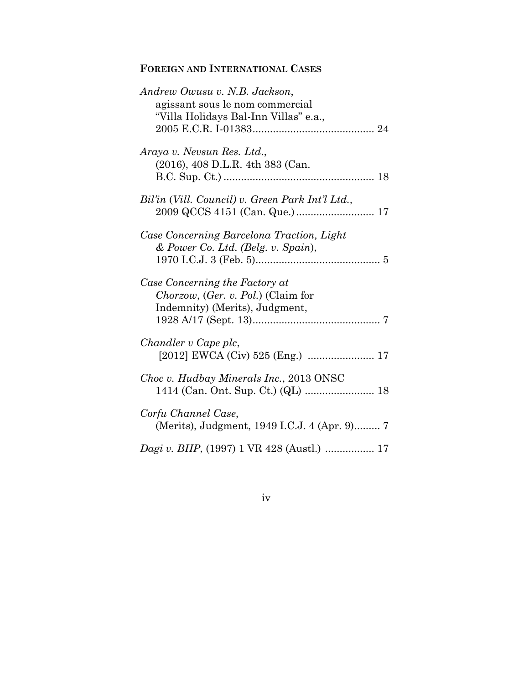### **FOREIGN AND INTERNATIONAL CASES**

| Andrew Owusu v. N.B. Jackson,                      |
|----------------------------------------------------|
| agissant sous le nom commercial                    |
| "Villa Holidays Bal-Inn Villas" e.a.,              |
|                                                    |
|                                                    |
| Araya v. Nevsun Res. Ltd.,                         |
| (2016), 408 D.L.R. 4th 383 (Can.                   |
|                                                    |
|                                                    |
| Bil'in (Vill. Council) v. Green Park Int'l Ltd.,   |
|                                                    |
|                                                    |
| Case Concerning Barcelona Traction, Light          |
| $&$ Power Co. Ltd. (Belg. v. Spain),               |
|                                                    |
|                                                    |
| Case Concerning the Factory at                     |
|                                                    |
|                                                    |
| <i>Chorzow,</i> ( <i>Ger. v. Pol.</i> ) (Claim for |
| Indemnity) (Merits), Judgment,                     |
|                                                    |
|                                                    |
| Chandler v Cape plc,                               |
|                                                    |
|                                                    |
| Choc v. Hudbay Minerals Inc., 2013 ONSC            |
|                                                    |
|                                                    |
| Corfu Channel Case,                                |
| (Merits), Judgment, 1949 I.C.J. 4 (Apr. 9) 7       |
| Dagi v. BHP, (1997) 1 VR 428 (Austl.)  17          |

iv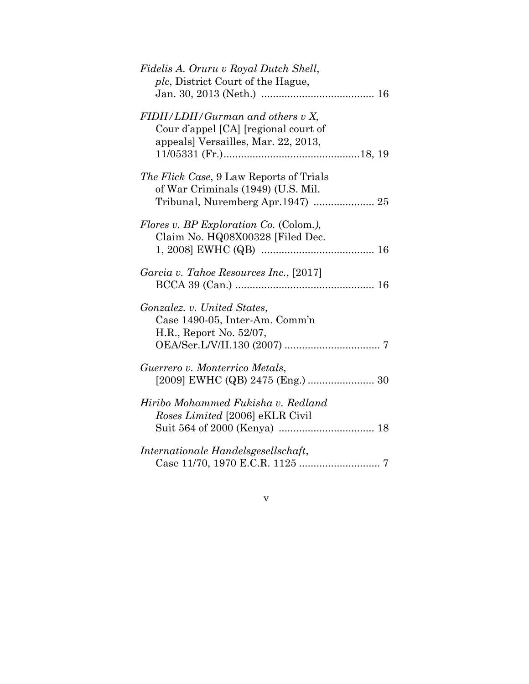| Fidelis A. Oruru v Royal Dutch Shell,<br><i>plc</i> , District Court of the Hague,                             |
|----------------------------------------------------------------------------------------------------------------|
| FIDH/LDH/Gurman and others v X,<br>Cour d'appel [CA] [regional court of<br>appeals] Versailles, Mar. 22, 2013, |
| <i>The Flick Case</i> , 9 Law Reports of Trials<br>of War Criminals (1949) (U.S. Mil.                          |
| <i>Flores v. BP Exploration Co.</i> (Colom.),<br>Claim No. HQ08X00328 [Filed Dec.                              |
| Garcia v. Tahoe Resources Inc., [2017]                                                                         |
| Gonzalez. v. United States,<br>Case 1490-05, Inter-Am. Comm'n<br>H.R., Report No. 52/07,                       |
| Guerrero v. Monterrico Metals,                                                                                 |
| Hiribo Mohammed Fukisha v. Redland<br>Roses Limited [2006] eKLR Civil                                          |
| Internationale Handelsgesellschaft,                                                                            |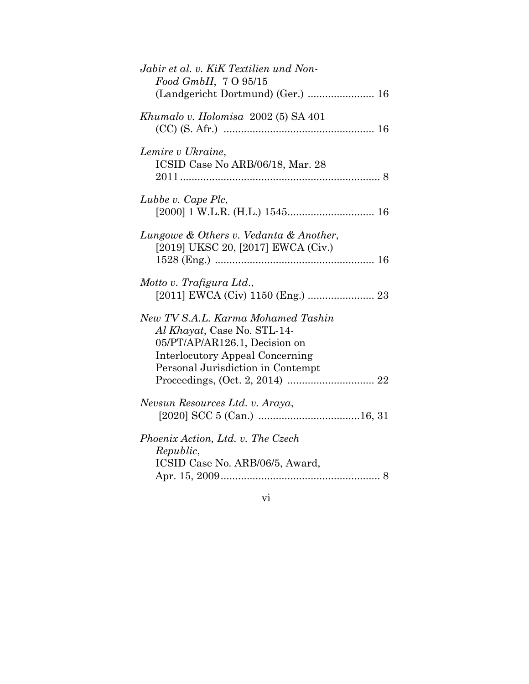| Jabir et al. v. KiK Textilien und Non-<br>Food GmbH, 7 O 95/15                                                                                                                    |
|-----------------------------------------------------------------------------------------------------------------------------------------------------------------------------------|
| (Landgericht Dortmund) (Ger.)  16                                                                                                                                                 |
| Khumalo v. Holomisa 2002 (5) SA 401                                                                                                                                               |
| Lemire v Ukraine,<br>ICSID Case No ARB/06/18, Mar. 28                                                                                                                             |
| Lubbe v. Cape Plc,                                                                                                                                                                |
| Lungowe & Others v. Vedanta & Another,<br>[2019] UKSC 20, [2017] EWCA (Civ.)                                                                                                      |
| Motto v. Trafigura Ltd.,<br>[2011] EWCA (Civ) 1150 (Eng.)  23                                                                                                                     |
| New TV S.A.L. Karma Mohamed Tashin<br>Al Khayat, Case No. STL-14-<br>05/PT/AP/AR126.1, Decision on<br><b>Interlocutory Appeal Concerning</b><br>Personal Jurisdiction in Contempt |
| Nevsun Resources Ltd. v. Araya,                                                                                                                                                   |
| Phoenix Action, Ltd. v. The Czech<br>Republic,<br>ICSID Case No. ARB/06/5, Award,                                                                                                 |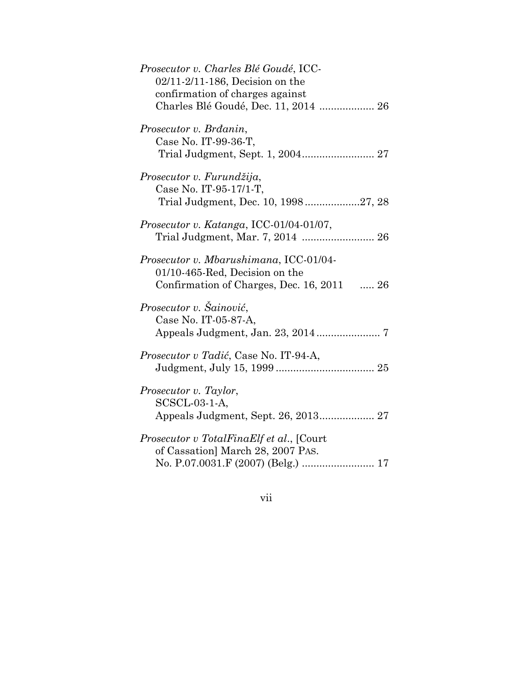| Prosecutor v. Charles Blé Goudé, ICC-<br>$02/11 - 2/11 - 186$ , Decision on the                                             |
|-----------------------------------------------------------------------------------------------------------------------------|
| confirmation of charges against<br>Charles Blé Goudé, Dec. 11, 2014  26                                                     |
| Prosecutor v. Brdanin,<br>Case No. IT-99-36-T,                                                                              |
| Prosecutor v. Furundžija,<br>Case No. IT-95-17/1-T,<br>Trial Judgment, Dec. 10, 199827, 28                                  |
| Prosecutor v. Katanga, ICC-01/04-01/07,<br>Trial Judgment, Mar. 7, 2014  26                                                 |
| Prosecutor v. Mbarushimana, ICC-01/04-<br>01/10-465-Red, Decision on the<br>Confirmation of Charges, Dec. 16, 2011  26      |
| Prosecutor v. Šainović,<br>Case No. IT-05-87-A,                                                                             |
| Prosecutor v Tadić, Case No. IT-94-A,                                                                                       |
| Prosecutor v. Taylor,<br>$SCSCL-03-1-A$                                                                                     |
| <i>Prosecutor v TotalFinaElf et al.</i> , [Court<br>of Cassation] March 28, 2007 PAS.<br>No. P.07.0031.F (2007) (Belg.)  17 |

vii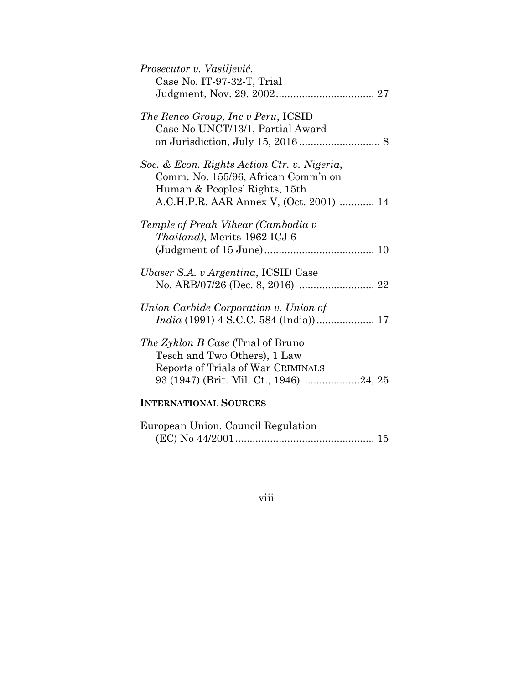| Prosecutor v. Vasiljević,<br>Case No. IT-97-32-T, Trial                                                                                                        |
|----------------------------------------------------------------------------------------------------------------------------------------------------------------|
| The Renco Group, Inc v Peru, ICSID<br>Case No UNCT/13/1, Partial Award                                                                                         |
| Soc. & Econ. Rights Action Ctr. v. Nigeria,<br>Comm. No. 155/96, African Comm'n on<br>Human & Peoples' Rights, 15th<br>A.C.H.P.R. AAR Annex V, (Oct. 2001)  14 |
| Temple of Preah Vihear (Cambodia v<br>Thailand), Merits 1962 ICJ 6                                                                                             |
| Ubaser S.A. v Argentina, ICSID Case                                                                                                                            |
| Union Carbide Corporation v. Union of                                                                                                                          |
| <i>The Zyklon B Case</i> (Trial of Bruno<br>Tesch and Two Others), 1 Law<br>Reports of Trials of War CRIMINALS<br>93 (1947) (Brit. Mil. Ct., 1946) 24, 25      |
| <b>INTERNATIONAL SOURCES</b>                                                                                                                                   |

| European Union, Council Regulation |  |
|------------------------------------|--|
|                                    |  |

## viii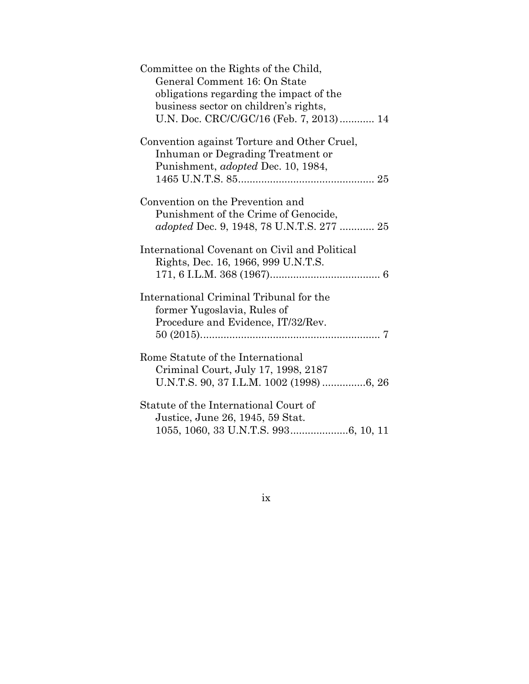ix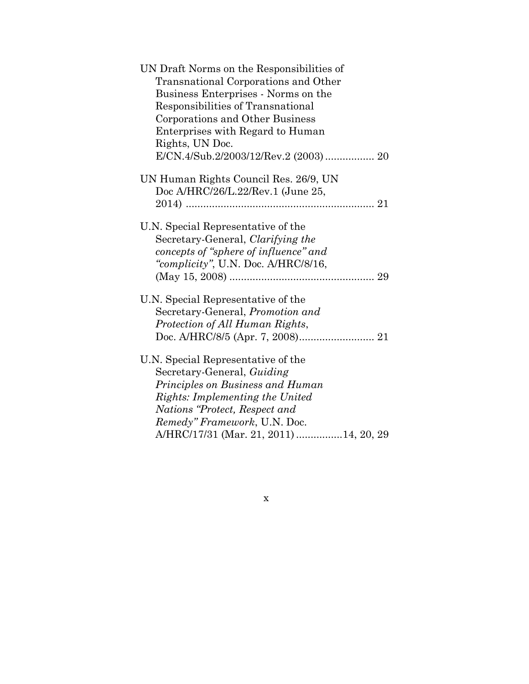| UN Draft Norms on the Responsibilities of |
|-------------------------------------------|
| Transnational Corporations and Other      |
| Business Enterprises - Norms on the       |
| Responsibilities of Transnational         |
| Corporations and Other Business           |
| Enterprises with Regard to Human          |
| Rights, UN Doc.                           |
| E/CN.4/Sub.2/2003/12/Rev.2 (2003) 20      |
| UN Human Rights Council Res. 26/9, UN     |
| Doc A/HRC/26/L.22/Rev.1 (June 25,         |
|                                           |
|                                           |
| U.N. Special Representative of the        |
| Secretary-General, Clarifying the         |
| concepts of "sphere of influence" and     |
| "complicity", U.N. Doc. A/HRC/8/16,       |
|                                           |
| U.N. Special Representative of the        |
| Secretary-General, <i>Promotion and</i>   |
| Protection of All Human Rights,           |
|                                           |
| U.N. Special Representative of the        |
| Secretary-General, Guiding                |
| Principles on Business and Human          |
| Rights: Implementing the United           |
| Nations "Protect, Respect and             |
| Remedy" Framework, U.N. Doc.              |
| A/HRC/17/31 (Mar. 21, 2011) 14, 20, 29    |

x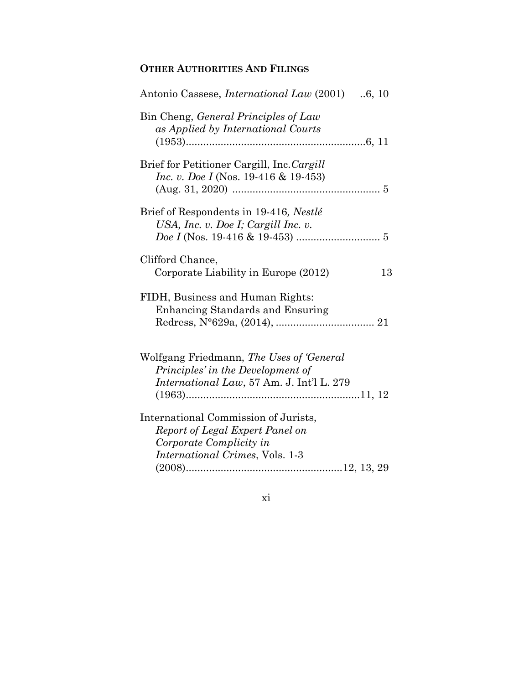### **OTHER AUTHORITIES AND FILINGS**

| Antonio Cassese, <i>International Law</i> (2001) .6, 10                                                                                      |
|----------------------------------------------------------------------------------------------------------------------------------------------|
| Bin Cheng, General Principles of Law<br>as Applied by International Courts                                                                   |
| Brief for Petitioner Cargill, Inc. Cargill<br><i>Inc. v. Doe I</i> (Nos. 19-416 & 19-453)                                                    |
| Brief of Respondents in 19-416, Nestlé<br>USA, Inc. v. Doe I; Cargill Inc. v.                                                                |
| Clifford Chance,<br>Corporate Liability in Europe (2012)<br>13                                                                               |
| FIDH, Business and Human Rights:<br><b>Enhancing Standards and Ensuring</b>                                                                  |
| Wolfgang Friedmann, The Uses of 'General<br>Principles' in the Development of<br>International Law, 57 Am. J. Int'l L. 279                   |
| International Commission of Jurists,<br>Report of Legal Expert Panel on<br>Corporate Complicity in<br><i>International Crimes, Vols.</i> 1-3 |

xi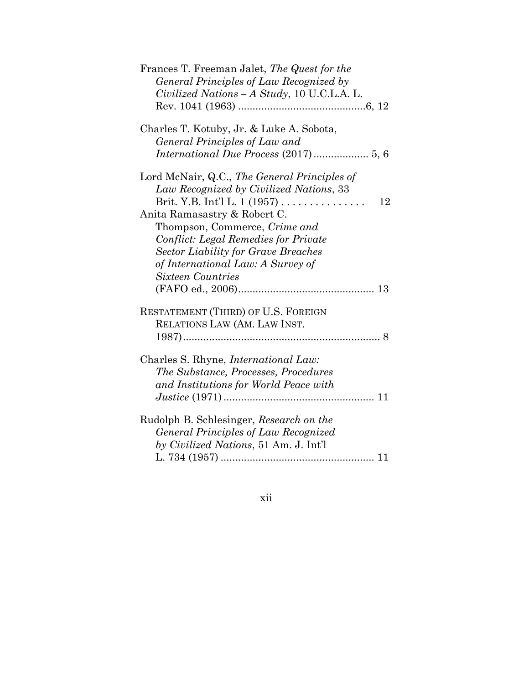| Frances T. Freeman Jalet, The Quest for the  |
|----------------------------------------------|
| General Principles of Law Recognized by      |
| Civilized Nations – A Study, 10 U.C.L.A. L.  |
|                                              |
| Charles T. Kotuby, Jr. & Luke A. Sobota,     |
| General Principles of Law and                |
|                                              |
| Lord McNair, Q.C., The General Principles of |
| Law Recognized by Civilized Nations, 33      |
| Brit. Y.B. Int'l L. 1 (1957)<br>12           |
| Anita Ramasastry & Robert C.                 |
| Thompson, Commerce, Crime and                |
| <b>Conflict: Legal Remedies for Private</b>  |
| <b>Sector Liability for Grave Breaches</b>   |
|                                              |
| of International Law: A Survey of            |
| Sixteen Countries                            |
|                                              |
| RESTATEMENT (THIRD) OF U.S. FOREIGN          |
| RELATIONS LAW (AM. LAW INST.                 |
| 8                                            |
|                                              |
| Charles S. Rhyne, <i>International Law</i> : |
| The Substance, Processes, Procedures         |
| and Institutions for World Peace with        |
|                                              |
|                                              |
| Rudolph B. Schlesinger, Research on the      |
| General Principles of Law Recognized         |
| by Civilized Nations, 51 Am. J. Int'l        |
|                                              |
|                                              |

### xii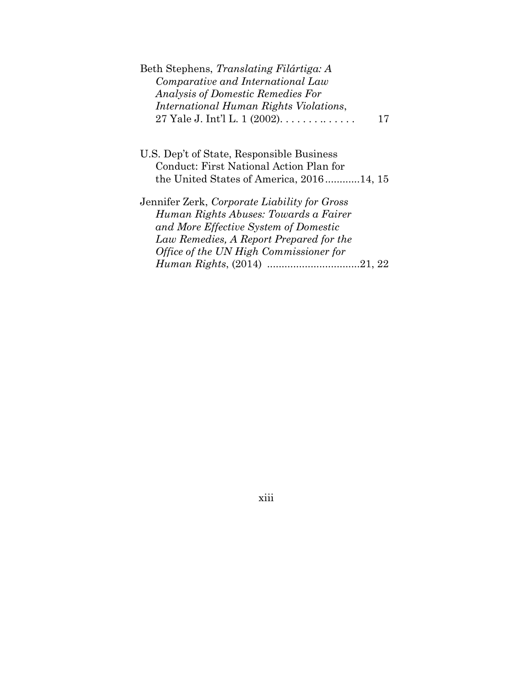| Beth Stephens, Translating Filártiga: A<br>Comparative and International Law<br><b>Analysis of Domestic Remedies For</b> |  |
|--------------------------------------------------------------------------------------------------------------------------|--|
| International Human Rights Violations,                                                                                   |  |
| 27 Yale J. Int'l L. 1 (2002).<br>17                                                                                      |  |
|                                                                                                                          |  |
| U.S. Dep't of State, Responsible Business                                                                                |  |
| Conduct: First National Action Plan for                                                                                  |  |
| the United States of America, 201614, 15                                                                                 |  |
| Jennifer Zerk, Corporate Liability for Gross                                                                             |  |
| Human Rights Abuses: Towards a Fairer                                                                                    |  |
| and More Effective System of Domestic                                                                                    |  |
| Law Remedies, A Report Prepared for the                                                                                  |  |
| Office of the UN High Commissioner for                                                                                   |  |
|                                                                                                                          |  |
|                                                                                                                          |  |

xiii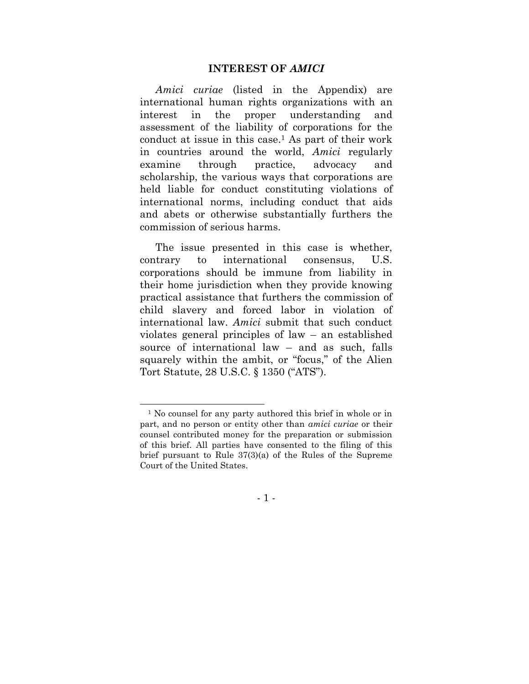#### **INTEREST OF** *AMICI*

*Amici curiae* (listed in the Appendix) are international human rights organizations with an interest in the proper understanding and assessment of the liability of corporations for the conduct at issue in this case. <sup>1</sup> As part of their work in countries around the world, *Amici* regularly examine through practice, advocacy and scholarship, the various ways that corporations are held liable for conduct constituting violations of international norms, including conduct that aids and abets or otherwise substantially furthers the commission of serious harms.

The issue presented in this case is whether, contrary to international consensus, U.S. corporations should be immune from liability in their home jurisdiction when they provide knowing practical assistance that furthers the commission of child slavery and forced labor in violation of international law. *Amici* submit that such conduct violates general principles of law – an established source of international law – and as such, falls squarely within the ambit, or "focus," of the Alien Tort Statute, 28 U.S.C. § 1350 ("ATS").

- 1 -

<sup>&</sup>lt;sup>1</sup> No counsel for any party authored this brief in whole or in part, and no person or entity other than *amici curiae* or their counsel contributed money for the preparation or submission of this brief. All parties have consented to the filing of this brief pursuant to Rule 37(3)(a) of the Rules of the Supreme Court of the United States.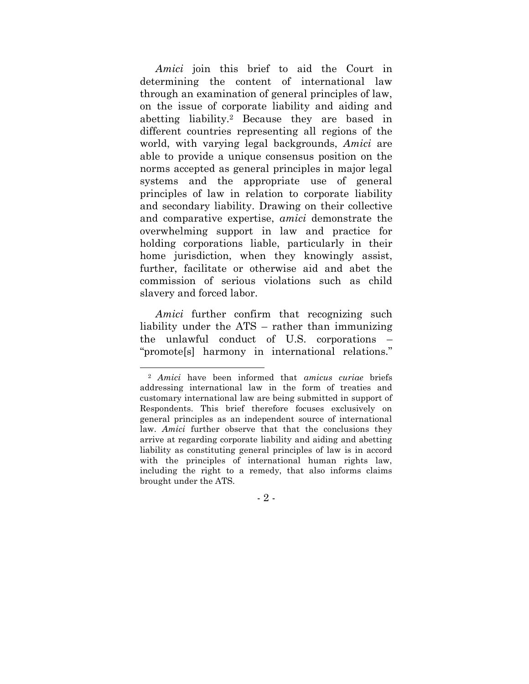*Amici* join this brief to aid the Court in determining the content of international law through an examination of general principles of law, on the issue of corporate liability and aiding and abetting liability.<sup>2</sup> Because they are based in different countries representing all regions of the world, with varying legal backgrounds, *Amici* are able to provide a unique consensus position on the norms accepted as general principles in major legal systems and the appropriate use of general principles of law in relation to corporate liability and secondary liability. Drawing on their collective and comparative expertise, *amici* demonstrate the overwhelming support in law and practice for holding corporations liable, particularly in their home jurisdiction, when they knowingly assist, further, facilitate or otherwise aid and abet the commission of serious violations such as child slavery and forced labor.

*Amici* further confirm that recognizing such liability under the ATS – rather than immunizing the unlawful conduct of U.S. corporations – "promote[s] harmony in international relations."

- 2 -

<sup>2</sup> *Amici* have been informed that *amicus curiae* briefs addressing international law in the form of treaties and customary international law are being submitted in support of Respondents. This brief therefore focuses exclusively on general principles as an independent source of international law. *Amici* further observe that that the conclusions they arrive at regarding corporate liability and aiding and abetting liability as constituting general principles of law is in accord with the principles of international human rights law, including the right to a remedy, that also informs claims brought under the ATS.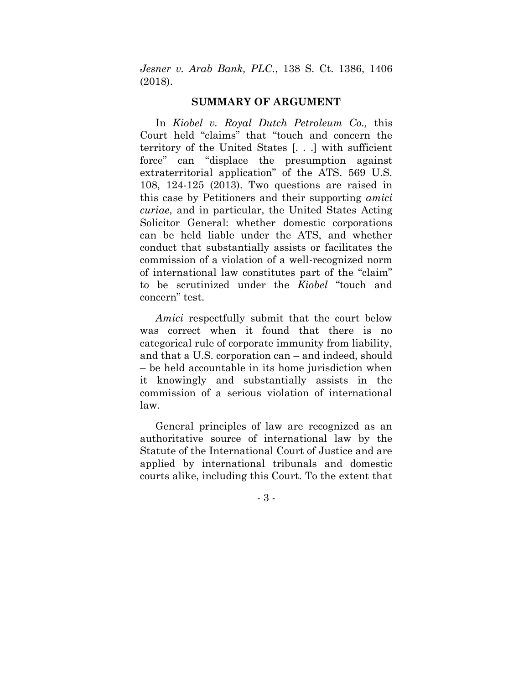*Jesner v. Arab Bank, PLC.*, 138 S. Ct. 1386, 1406 (2018).

#### **SUMMARY OF ARGUMENT**

In *Kiobel v. Royal Dutch Petroleum Co.,* this Court held "claims" that "touch and concern the territory of the United States [. . .] with sufficient force" can "displace the presumption against extraterritorial application" of the ATS. 569 U.S. 108, 124-125 (2013). Two questions are raised in this case by Petitioners and their supporting *amici curiae*, and in particular, the United States Acting Solicitor General: whether domestic corporations can be held liable under the ATS, and whether conduct that substantially assists or facilitates the commission of a violation of a well-recognized norm of international law constitutes part of the "claim" to be scrutinized under the *Kiobel* "touch and concern" test.

*Amici* respectfully submit that the court below was correct when it found that there is no categorical rule of corporate immunity from liability, and that a U.S. corporation can – and indeed, should – be held accountable in its home jurisdiction when it knowingly and substantially assists in the commission of a serious violation of international law.

General principles of law are recognized as an authoritative source of international law by the Statute of the International Court of Justice and are applied by international tribunals and domestic courts alike, including this Court. To the extent that

- 3 -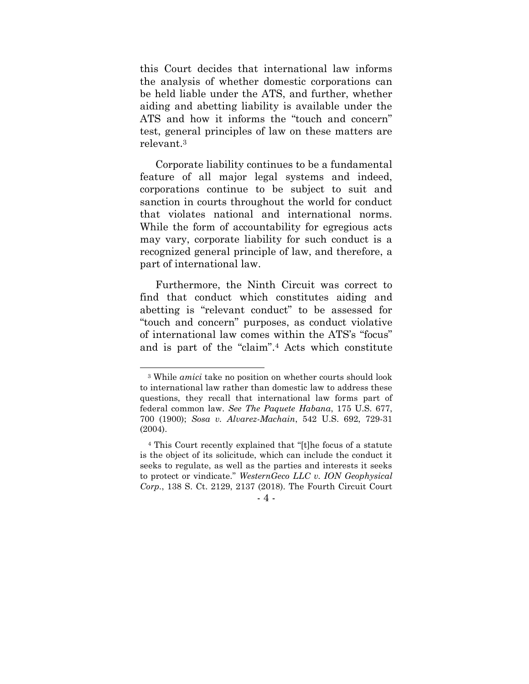this Court decides that international law informs the analysis of whether domestic corporations can be held liable under the ATS, and further, whether aiding and abetting liability is available under the ATS and how it informs the "touch and concern" test, general principles of law on these matters are relevant.<sup>3</sup>

Corporate liability continues to be a fundamental feature of all major legal systems and indeed, corporations continue to be subject to suit and sanction in courts throughout the world for conduct that violates national and international norms. While the form of accountability for egregious acts may vary, corporate liability for such conduct is a recognized general principle of law, and therefore, a part of international law.

Furthermore, the Ninth Circuit was correct to find that conduct which constitutes aiding and abetting is "relevant conduct" to be assessed for "touch and concern" purposes, as conduct violative of international law comes within the ATS's "focus" and is part of the "claim".<sup>4</sup> Acts which constitute

<sup>3</sup> While *amici* take no position on whether courts should look to international law rather than domestic law to address these questions, they recall that international law forms part of federal common law. *See The Paquete Habana*, 175 U.S. 677, 700 (1900); *Sosa v. Alvarez-Machain*, 542 U.S. 692, 729-31 (2004).

<sup>4</sup> This Court recently explained that "[t]he focus of a statute is the object of its solicitude, which can include the conduct it seeks to regulate, as well as the parties and interests it seeks to protect or vindicate." *WesternGeco LLC v. ION Geophysical Corp.*, 138 S. Ct. 2129, 2137 (2018). The Fourth Circuit Court

<sup>-</sup> 4 -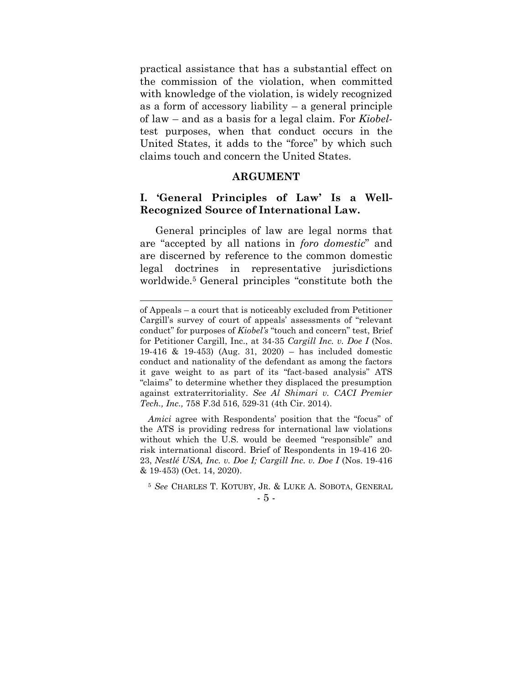practical assistance that has a substantial effect on the commission of the violation, when committed with knowledge of the violation, is widely recognized as a form of accessory liability – a general principle of law – and as a basis for a legal claim. For *Kiobel*test purposes, when that conduct occurs in the United States, it adds to the "force" by which such claims touch and concern the United States.

#### **ARGUMENT**

#### **I. 'General Principles of Law' Is a Well-Recognized Source of International Law.**

General principles of law are legal norms that are "accepted by all nations in *foro domestic*" and are discerned by reference to the common domestic legal doctrines in representative jurisdictions worldwide.<sup>5</sup> General principles "constitute both the

of Appeals – a court that is noticeably excluded from Petitioner Cargill's survey of court of appeals' assessments of "relevant conduct" for purposes of *Kiobel's* "touch and concern" test, Brief for Petitioner Cargill, Inc., at 34-35 *Cargill Inc. v. Doe I* (Nos. 19-416 & 19-453) (Aug. 31, 2020) – has included domestic conduct and nationality of the defendant as among the factors it gave weight to as part of its "fact-based analysis" ATS "claims" to determine whether they displaced the presumption against extraterritoriality. *See Al Shimari v. CACI Premier Tech., Inc.,* 758 F.3d 516, 529-31 (4th Cir. 2014).

*Amici* agree with Respondents' position that the "focus" of the ATS is providing redress for international law violations without which the U.S. would be deemed "responsible" and risk international discord. Brief of Respondents in 19-416 20- 23, *Nestlé USA, Inc. v. Doe I; Cargill Inc. v. Doe I* (Nos. 19-416 & 19-453) (Oct. 14, 2020).

<sup>-</sup> 5 - <sup>5</sup> *See* CHARLES T. KOTUBY, JR. & LUKE A. SOBOTA, GENERAL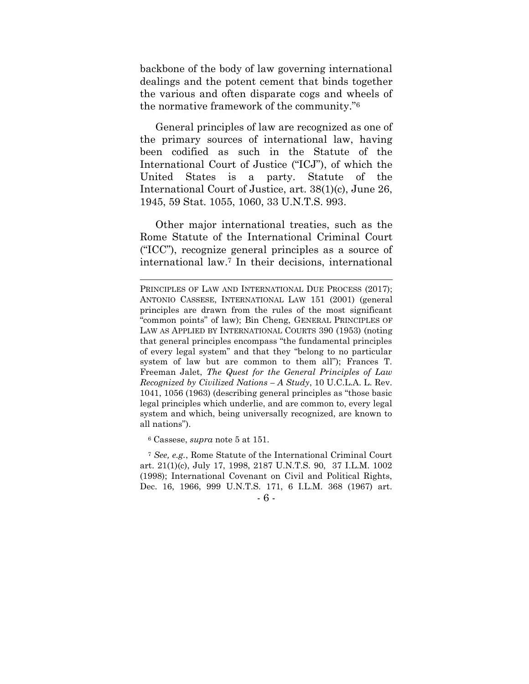backbone of the body of law governing international dealings and the potent cement that binds together the various and often disparate cogs and wheels of the normative framework of the community."<sup>6</sup>

General principles of law are recognized as one of the primary sources of international law, having been codified as such in the Statute of the International Court of Justice ("ICJ"), of which the United States is a party. Statute of the International Court of Justice, art. 38(1)(c), June 26, 1945, 59 Stat. 1055, 1060, 33 U.N.T.S. 993.

Other major international treaties, such as the Rome Statute of the International Criminal Court ("ICC"), recognize general principles as a source of international law. <sup>7</sup> In their decisions, international

<sup>6</sup> Cassese, *supra* note 5 at 151.

<sup>7</sup> *See, e.g.*, Rome Statute of the International Criminal Court art. 21(1)(c), July 17, 1998, 2187 U.N.T.S. 90, 37 I.L.M. 1002 (1998); International Covenant on Civil and Political Rights, Dec. 16, 1966, 999 U.N.T.S. 171, 6 I.L.M. 368 (1967) art.

- 6 -

PRINCIPLES OF LAW AND INTERNATIONAL DUE PROCESS (2017); ANTONIO CASSESE, INTERNATIONAL LAW 151 (2001) (general principles are drawn from the rules of the most significant "common points" of law); Bin Cheng, GENERAL PRINCIPLES OF LAW AS APPLIED BY INTERNATIONAL COURTS 390 (1953) (noting that general principles encompass "the fundamental principles of every legal system" and that they "belong to no particular system of law but are common to them all"); Frances T. Freeman Jalet, *The Quest for the General Principles of Law Recognized by Civilized Nations – A Study*, 10 U.C.L.A. L. Rev. 1041, 1056 (1963) (describing general principles as "those basic legal principles which underlie, and are common to, every legal system and which, being universally recognized, are known to all nations").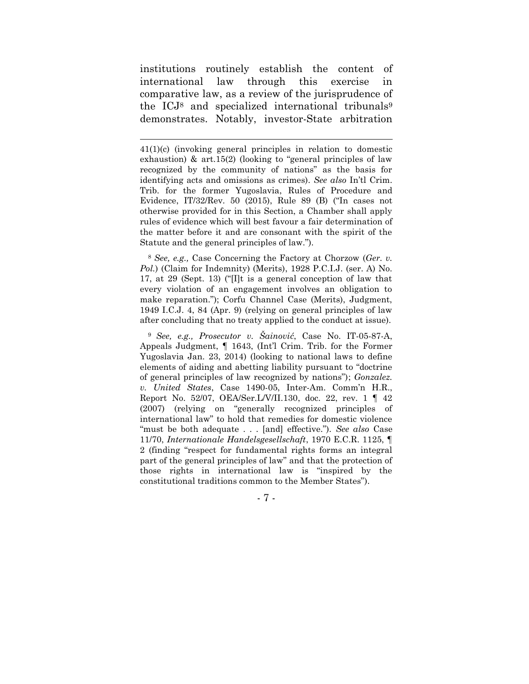institutions routinely establish the content of international law through this exercise in comparative law, as a review of the jurisprudence of the ICJ<sup>8</sup> and specialized international tribunals<sup>9</sup> demonstrates. Notably, investor-State arbitration

<sup>8</sup> *See, e.g.,* Case Concerning the Factory at Chorzow (*Ger. v. Pol.*) (Claim for Indemnity) (Merits), 1928 P.C.I.J. (ser. A) No. 17, at 29 (Sept. 13) ("[I]t is a general conception of law that every violation of an engagement involves an obligation to make reparation."); Corfu Channel Case (Merits), Judgment, 1949 I.C.J. 4, 84 (Apr. 9) (relying on general principles of law after concluding that no treaty applied to the conduct at issue).

<sup>9</sup> *See, e.g., Prosecutor v. Šainović*, Case No. IT-05-87-A, Appeals Judgment, ¶ 1643, (Int'l Crim. Trib. for the Former Yugoslavia Jan. 23, 2014) (looking to national laws to define elements of aiding and abetting liability pursuant to "doctrine of general principles of law recognized by nations"); *Gonzalez. v. United States*, Case 1490-05, Inter-Am. Comm'n H.R., Report No. 52/07, OEA/Ser.L/V/II.130, doc. 22, rev. 1 ¶ 42 (2007) (relying on "generally recognized principles of international law" to hold that remedies for domestic violence "must be both adequate . . . [and] effective."). *See also* Case 11/70, *Internationale Handelsgesellschaft*, 1970 E.C.R. 1125, ¶ 2 (finding "respect for fundamental rights forms an integral part of the general principles of law" and that the protection of those rights in international law is "inspired by the constitutional traditions common to the Member States").

- 7 -

<sup>41(1)(</sup>c) (invoking general principles in relation to domestic exhaustion)  $\&$  art.15(2) (looking to "general principles of law recognized by the community of nations" as the basis for identifying acts and omissions as crimes). *See also* In'tl Crim. Trib. for the former Yugoslavia, Rules of Procedure and Evidence, IT/32/Rev. 50 (2015), Rule 89 (B) ("In cases not otherwise provided for in this Section, a Chamber shall apply rules of evidence which will best favour a fair determination of the matter before it and are consonant with the spirit of the Statute and the general principles of law.").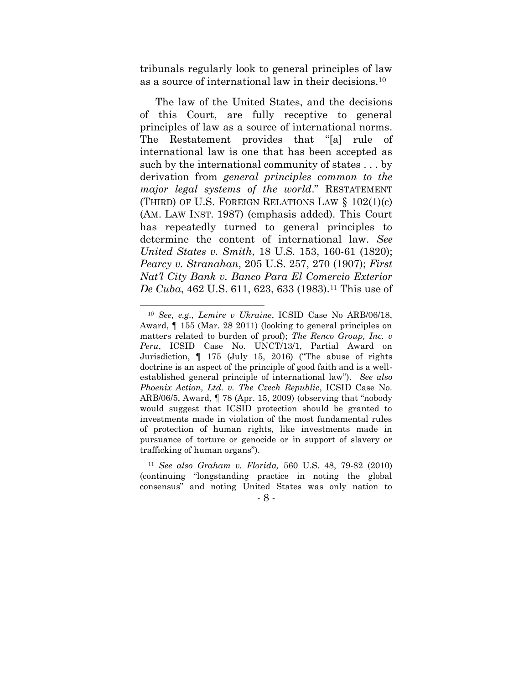tribunals regularly look to general principles of law as a source of international law in their decisions.<sup>10</sup>

The law of the United States, and the decisions of this Court, are fully receptive to general principles of law as a source of international norms. The Restatement provides that "[a] rule of international law is one that has been accepted as such by the international community of states . . . by derivation from *general principles common to the major legal systems of the world*." RESTATEMENT (THIRD) OF U.S. FOREIGN RELATIONS LAW § 102(1)(c) (AM. LAW INST. 1987) (emphasis added). This Court has repeatedly turned to general principles to determine the content of international law. *See United States v. Smith*, 18 U.S. 153, 160-61 (1820); *Pearcy v. Stranahan*, 205 U.S. 257, 270 (1907); *First Nat'l City Bank v. Banco Para El Comercio Exterior De Cuba*, 462 U.S. 611, 623, 633 (1983).<sup>11</sup> This use of

<sup>10</sup> *See, e.g., Lemire v Ukraine*, ICSID Case No ARB/06/18, Award, ¶ 155 (Mar. 28 2011) (looking to general principles on matters related to burden of proof); *The Renco Group, Inc. v Peru*, ICSID Case No. UNCT/13/1, Partial Award on Jurisdiction, ¶ 175 (July 15, 2016) ("The abuse of rights doctrine is an aspect of the principle of good faith and is a wellestablished general principle of international law"). *See also Phoenix Action, Ltd. v. The Czech Republic*, ICSID Case No. ARB/06/5, Award, ¶ 78 (Apr. 15, 2009) (observing that "nobody would suggest that ICSID protection should be granted to investments made in violation of the most fundamental rules of protection of human rights, like investments made in pursuance of torture or genocide or in support of slavery or trafficking of human organs").

<sup>11</sup> *See also Graham v. Florida,* 560 U.S. 48, 79-82 (2010) (continuing "longstanding practice in noting the global consensus" and noting United States was only nation to

<sup>-</sup> 8 -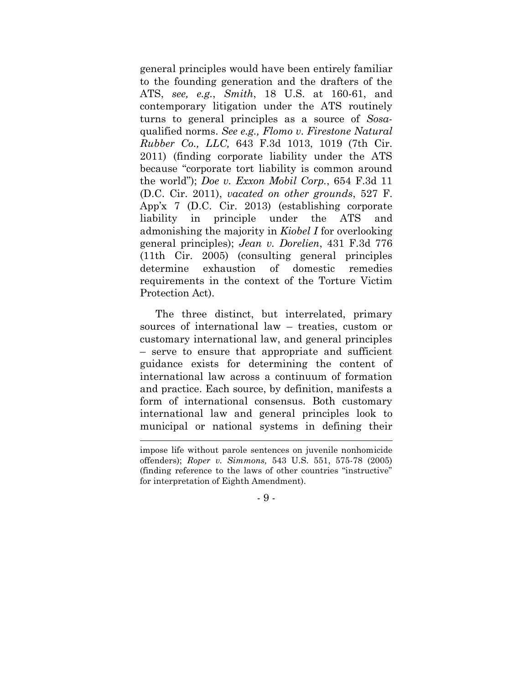general principles would have been entirely familiar to the founding generation and the drafters of the ATS, *see, e.g.*, *Smith*, 18 U.S. at 160-61, and contemporary litigation under the ATS routinely turns to general principles as a source of *Sosa*qualified norms. *See e.g., Flomo v. Firestone Natural Rubber Co., LLC,* 643 F.3d 1013, 1019 (7th Cir. 2011) (finding corporate liability under the ATS because "corporate tort liability is common around the world"); *Doe v. Exxon Mobil Corp.*, 654 F.3d 11 (D.C. Cir. 2011), *vacated on other grounds*, 527 F. App'x 7 (D.C. Cir. 2013) (establishing corporate liability in principle under the ATS and admonishing the majority in *Kiobel I* for overlooking general principles); *Jean v. Dorelien*, 431 F.3d 776 (11th Cir. 2005) (consulting general principles determine exhaustion of domestic remedies requirements in the context of the Torture Victim Protection Act).

The three distinct, but interrelated, primary sources of international law – treaties, custom or customary international law, and general principles – serve to ensure that appropriate and sufficient guidance exists for determining the content of international law across a continuum of formation and practice. Each source, by definition, manifests a form of international consensus. Both customary international law and general principles look to municipal or national systems in defining their

- 9 -

impose life without parole sentences on juvenile nonhomicide offenders); *Roper v. Simmons,* 543 U.S. 551, 575-78 (2005) (finding reference to the laws of other countries "instructive" for interpretation of Eighth Amendment).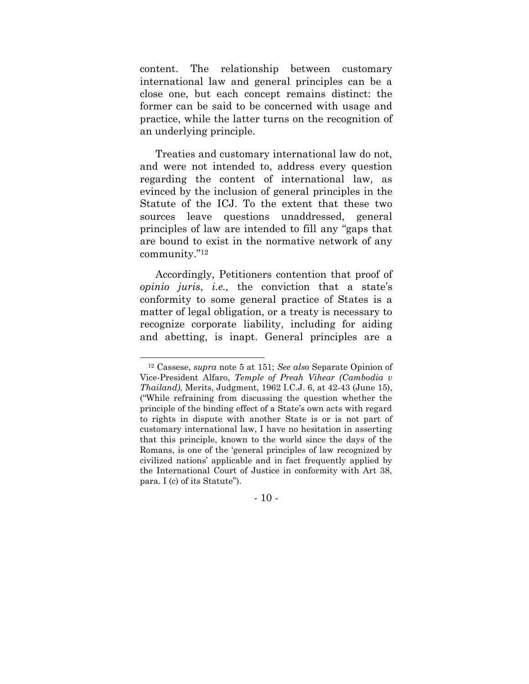content. The relationship between customary international law and general principles can be a close one, but each concept remains distinct: the former can be said to be concerned with usage and practice, while the latter turns on the recognition of an underlying principle.

Treaties and customary international law do not, and were not intended to, address every question regarding the content of international law, as evinced by the inclusion of general principles in the Statute of the ICJ. To the extent that these two sources leave questions unaddressed, general principles of law are intended to fill any "gaps that are bound to exist in the normative network of any community."<sup>12</sup>

Accordingly, Petitioners contention that proof of *opinio juris*, *i.e.,* the conviction that a state's conformity to some general practice of States is a matter of legal obligation, or a treaty is necessary to recognize corporate liability, including for aiding and abetting, is inapt. General principles are a

 $-10 -$ 

<sup>12</sup> Cassese, *supra* note 5 at 151; *See also* Separate Opinion of Vice-President Alfaro, *Temple of Preah Vihear (Cambodia v Thailand),* Merits, Judgment, 1962 I.C.J. 6, at 42-43 (June 15), ("While refraining from discussing the question whether the principle of the binding effect of a State's own acts with regard to rights in dispute with another State is or is not part of customary international law, I have no hesitation in asserting that this principle, known to the world since the days of the Romans, is one of the 'general principles of law recognized by civilized nations' applicable and in fact frequently applied by the International Court of Justice in conformity with Art 38, para. I (c) of its Statute").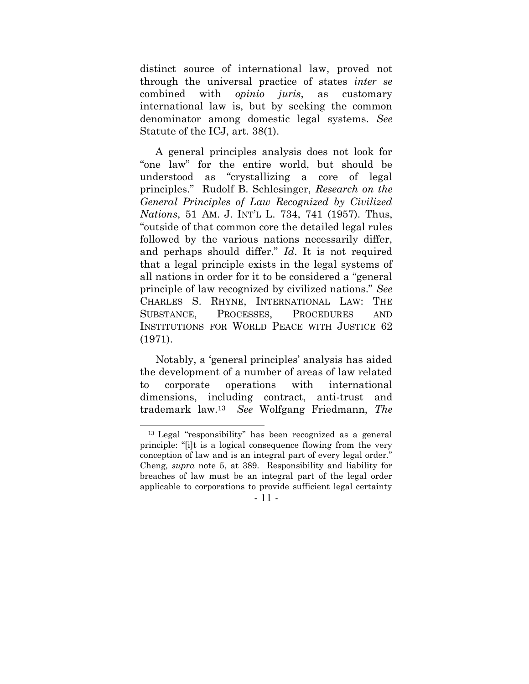distinct source of international law, proved not through the universal practice of states *inter se* combined with *opinio juris*, as customary international law is, but by seeking the common denominator among domestic legal systems. *See*  Statute of the ICJ, art. 38(1).

A general principles analysis does not look for "one law" for the entire world, but should be understood as "crystallizing a core of legal principles." Rudolf B. Schlesinger, *Research on the General Principles of Law Recognized by Civilized Nations*, 51 AM. J. INT'L L. 734, 741 (1957). Thus, "outside of that common core the detailed legal rules followed by the various nations necessarily differ, and perhaps should differ." *Id*. It is not required that a legal principle exists in the legal systems of all nations in order for it to be considered a "general principle of law recognized by civilized nations." *See*  CHARLES S. RHYNE, INTERNATIONAL LAW: THE SUBSTANCE, PROCESSES, PROCEDURES AND INSTITUTIONS FOR WORLD PEACE WITH JUSTICE 62 (1971).

Notably, a 'general principles' analysis has aided the development of a number of areas of law related to corporate operations with international dimensions, including contract, anti-trust and trademark law.13 *See* Wolfgang Friedmann, *The* 

- 11 -

<sup>13</sup> Legal "responsibility" has been recognized as a general principle: "[i]t is a logical consequence flowing from the very conception of law and is an integral part of every legal order." Cheng*, supra* note 5, at 389. Responsibility and liability for breaches of law must be an integral part of the legal order applicable to corporations to provide sufficient legal certainty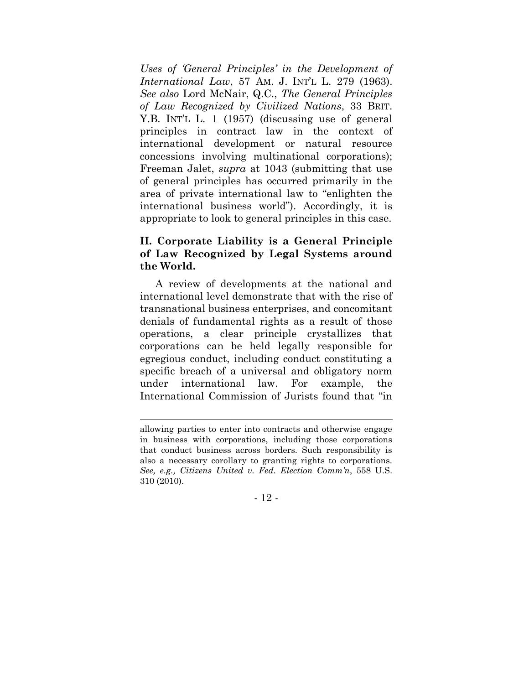*Uses of 'General Principles' in the Development of International Law*, 57 AM. J. INT'L L. 279 (1963). *See also* Lord McNair, Q.C., *The General Principles of Law Recognized by Civilized Nations*, 33 BRIT. Y.B. INT'L L. 1 (1957) (discussing use of general principles in contract law in the context of international development or natural resource concessions involving multinational corporations); Freeman Jalet, *supra* at 1043 (submitting that use of general principles has occurred primarily in the area of private international law to "enlighten the international business world"). Accordingly, it is appropriate to look to general principles in this case.

#### **II. Corporate Liability is a General Principle of Law Recognized by Legal Systems around the World.**

A review of developments at the national and international level demonstrate that with the rise of transnational business enterprises, and concomitant denials of fundamental rights as a result of those operations, a clear principle crystallizes that corporations can be held legally responsible for egregious conduct, including conduct constituting a specific breach of a universal and obligatory norm under international law. For example, the International Commission of Jurists found that "in

- 12 -

allowing parties to enter into contracts and otherwise engage in business with corporations, including those corporations that conduct business across borders. Such responsibility is also a necessary corollary to granting rights to corporations. *See, e.g., Citizens United v. Fed. Election Comm'n*, 558 U.S. 310 (2010).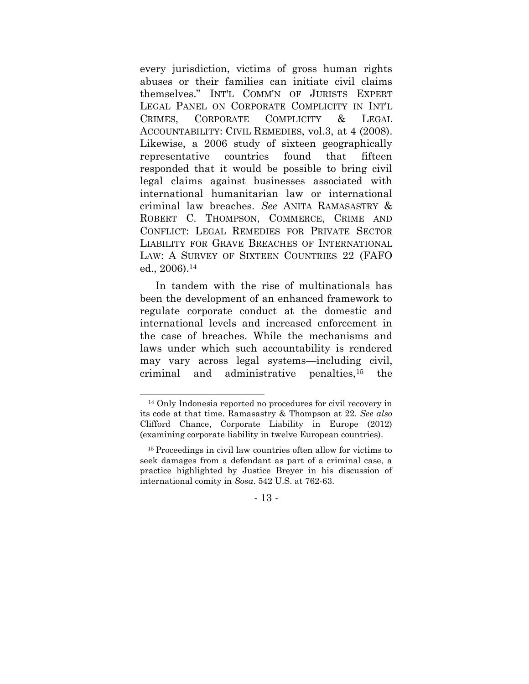every jurisdiction, victims of gross human rights abuses or their families can initiate civil claims themselves." INT'L COMM'N OF JURISTS EXPERT LEGAL PANEL ON CORPORATE COMPLICITY IN INT'L CRIMES, CORPORATE COMPLICITY & LEGAL ACCOUNTABILITY: CIVIL REMEDIES, vol.3, at 4 (2008). Likewise, a 2006 study of sixteen geographically representative countries found that fifteen responded that it would be possible to bring civil legal claims against businesses associated with international humanitarian law or international criminal law breaches. *See* ANITA RAMASASTRY & ROBERT C. THOMPSON, COMMERCE, CRIME AND CONFLICT: LEGAL REMEDIES FOR PRIVATE SECTOR LIABILITY FOR GRAVE BREACHES OF INTERNATIONAL LAW: A SURVEY OF SIXTEEN COUNTRIES 22 (FAFO ed., 2006). 14

In tandem with the rise of multinationals has been the development of an enhanced framework to regulate corporate conduct at the domestic and international levels and increased enforcement in the case of breaches. While the mechanisms and laws under which such accountability is rendered may vary across legal systems—including civil, criminal and administrative penalties,<sup>15</sup> the

<sup>14</sup> Only Indonesia reported no procedures for civil recovery in its code at that time. Ramasastry & Thompson at 22. *See also*  Clifford Chance, Corporate Liability in Europe (2012) (examining corporate liability in twelve European countries).

<sup>15</sup> Proceedings in civil law countries often allow for victims to seek damages from a defendant as part of a criminal case, a practice highlighted by Justice Breyer in his discussion of international comity in *Sosa*. 542 U.S. at 762-63.

<sup>-</sup> 13 -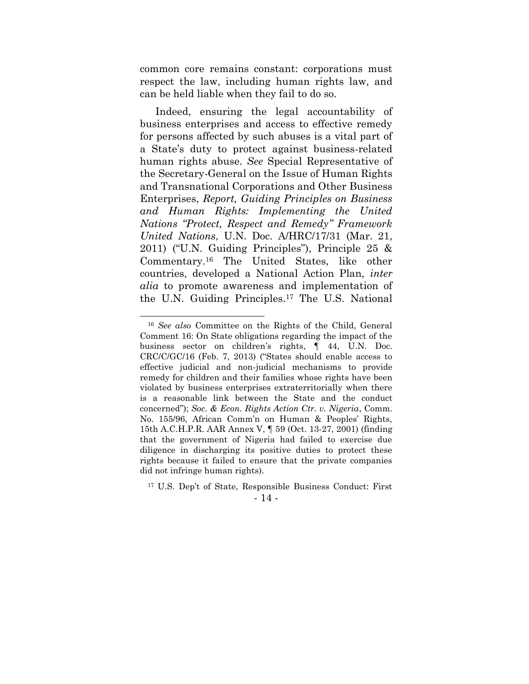common core remains constant: corporations must respect the law, including human rights law, and can be held liable when they fail to do so.

Indeed, ensuring the legal accountability of business enterprises and access to effective remedy for persons affected by such abuses is a vital part of a State's duty to protect against business-related human rights abuse. *See* Special Representative of the Secretary-General on the Issue of Human Rights and Transnational Corporations and Other Business Enterprises, *Report, Guiding Principles on Business and Human Rights: Implementing the United Nations "Protect, Respect and Remedy" Framework United Nations*, U.N. Doc. A/HRC/17/31 (Mar. 21, 2011) ("U.N. Guiding Principles"), Principle 25 & Commentary.<sup>16</sup> The United States, like other countries, developed a National Action Plan, *inter alia* to promote awareness and implementation of the U.N. Guiding Principles.<sup>17</sup> The U.S. National

#### - 14 -

<sup>16</sup> *See also* Committee on the Rights of the Child, General Comment 16: On State obligations regarding the impact of the business sector on children's rights, ¶ 44, U.N. Doc. CRC/C/GC/16 (Feb. 7, 2013) ("States should enable access to effective judicial and non-judicial mechanisms to provide remedy for children and their families whose rights have been violated by business enterprises extraterritorially when there is a reasonable link between the State and the conduct concerned"); *Soc. & Econ. Rights Action Ctr. v. Nigeria*, Comm. No. 155/96, African Comm'n on Human & Peoples' Rights, 15th A.C.H.P.R. AAR Annex V, ¶ 59 (Oct. 13-27, 2001) (finding that the government of Nigeria had failed to exercise due diligence in discharging its positive duties to protect these rights because it failed to ensure that the private companies did not infringe human rights).

<sup>17</sup> U.S. Dep't of State, Responsible Business Conduct: First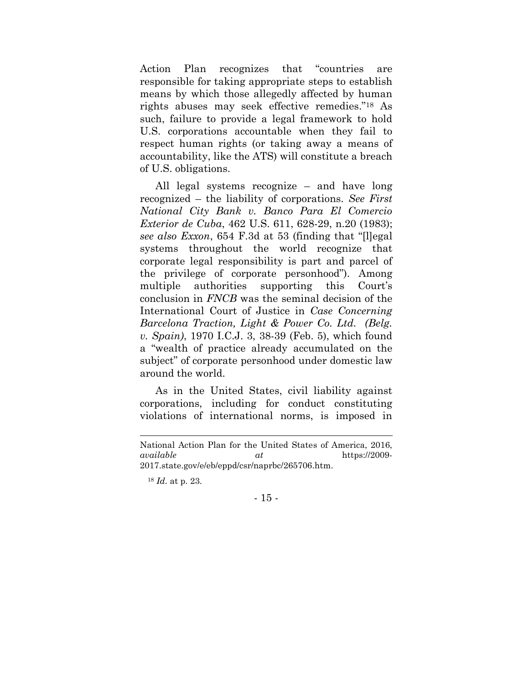Action Plan recognizes that "countries are responsible for taking appropriate steps to establish means by which those allegedly affected by human rights abuses may seek effective remedies."<sup>18</sup> As such, failure to provide a legal framework to hold U.S. corporations accountable when they fail to respect human rights (or taking away a means of accountability, like the ATS) will constitute a breach of U.S. obligations.

All legal systems recognize – and have long recognized – the liability of corporations. *See First National City Bank v. Banco Para El Comercio Exterior de Cuba*, 462 U.S. 611, 628-29, n.20 (1983); *see also Exxon*, 654 F.3d at 53 (finding that "[l]egal systems throughout the world recognize that corporate legal responsibility is part and parcel of the privilege of corporate personhood"). Among multiple authorities supporting this Court's conclusion in *FNCB* was the seminal decision of the International Court of Justice in *Case Concerning Barcelona Traction, Light & Power Co. Ltd. (Belg. v. Spain)*, 1970 I.C.J. 3, 38-39 (Feb. 5), which found a "wealth of practice already accumulated on the subject" of corporate personhood under domestic law around the world.

As in the United States, civil liability against corporations, including for conduct constituting violations of international norms, is imposed in

National Action Plan for the United States of America, 2016, *available at* https://2009- 2017.state.gov/e/eb/eppd/csr/naprbc/265706.htm.

<sup>18</sup> *Id.* at p. 23.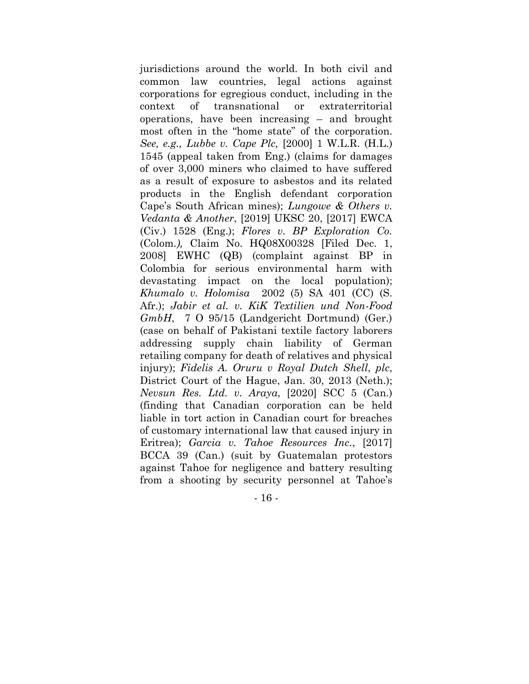jurisdictions around the world. In both civil and common law countries, legal actions against corporations for egregious conduct, including in the context of transnational or extraterritorial operations, have been increasing – and brought most often in the "home state" of the corporation. *See, e.g., Lubbe v. Cape Plc,* [2000] 1 W.L.R. (H.L.) 1545 (appeal taken from Eng.) (claims for damages of over 3,000 miners who claimed to have suffered as a result of exposure to asbestos and its related products in the English defendant corporation Cape's South African mines); *Lungowe & Others v. Vedanta & Another*, [2019] UKSC 20, [2017] EWCA (Civ.) 1528 (Eng.); *Flores v. BP Exploration Co.*  (Colom*.),* Claim No. HQ08X00328 [Filed Dec. 1, 2008] EWHC (QB) (complaint against BP in Colombia for serious environmental harm with devastating impact on the local population); *Khumalo v. Holomisa* 2002 (5) SA 401 (CC) (S. Afr.); *Jabir et al. v. KiK Textilien und Non-Food GmbH*, 7 O 95/15 (Landgericht Dortmund) (Ger.) (case on behalf of Pakistani textile factory laborers addressing supply chain liability of German retailing company for death of relatives and physical injury); *Fidelis A. Oruru v Royal Dutch Shell*, *plc*, District Court of the Hague, Jan. 30, 2013 (Neth.); *Nevsun Res. Ltd. v. Araya*, [2020] SCC 5 (Can.) (finding that Canadian corporation can be held liable in tort action in Canadian court for breaches of customary international law that caused injury in Eritrea); *Garcia v. Tahoe Resources Inc.*, [2017] BCCA 39 (Can.) (suit by Guatemalan protestors against Tahoe for negligence and battery resulting from a shooting by security personnel at Tahoe's

- 16 -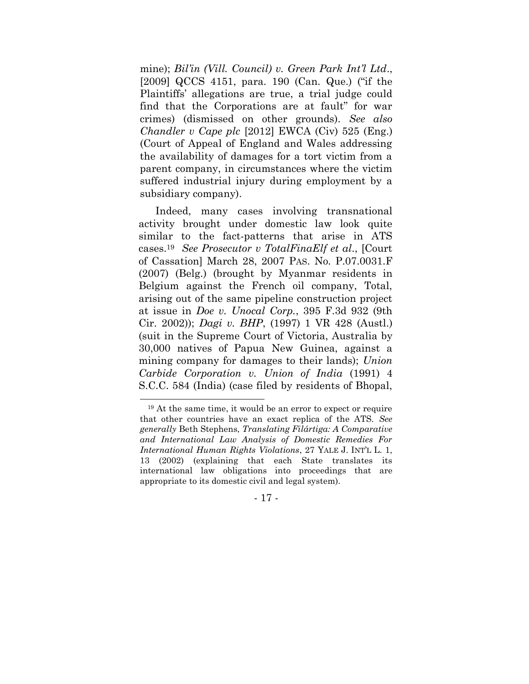mine); *Bil'in (Vill. Council) v. Green Park Int'l Ltd*., [2009] QCCS 4151, para. 190 (Can. Que.) ("if the Plaintiffs' allegations are true, a trial judge could find that the Corporations are at fault" for war crimes) (dismissed on other grounds). *See also Chandler v Cape plc* [2012] EWCA (Civ) 525 (Eng.) (Court of Appeal of England and Wales addressing the availability of damages for a tort victim from a parent company, in circumstances where the victim suffered industrial injury during employment by a subsidiary company).

Indeed, many cases involving transnational activity brought under domestic law look quite similar to the fact-patterns that arise in ATS cases.<sup>19</sup> *See Prosecutor v TotalFinaElf et al*., [Court of Cassation] March 28, 2007 PAS. No. P.07.0031.F (2007) (Belg.) (brought by Myanmar residents in Belgium against the French oil company, Total, arising out of the same pipeline construction project at issue in *Doe v. Unocal Corp.*, 395 F.3d 932 (9th Cir. 2002)); *Dagi v. BHP*, (1997) 1 VR 428 (Austl.) (suit in the Supreme Court of Victoria, Australia by 30,000 natives of Papua New Guinea, against a mining company for damages to their lands); *Union Carbide Corporation v. Union of India* (1991) 4 S.C.C. 584 (India) (case filed by residents of Bhopal,

- 17 -

<sup>19</sup> At the same time, it would be an error to expect or require that other countries have an exact replica of the ATS. *See generally* Beth Stephens, *Translating Filártiga: A Comparative and International Law Analysis of Domestic Remedies For International Human Rights Violations*, 27 YALE J. INT'L L. 1, 13 (2002) (explaining that each State translates its international law obligations into proceedings that are appropriate to its domestic civil and legal system).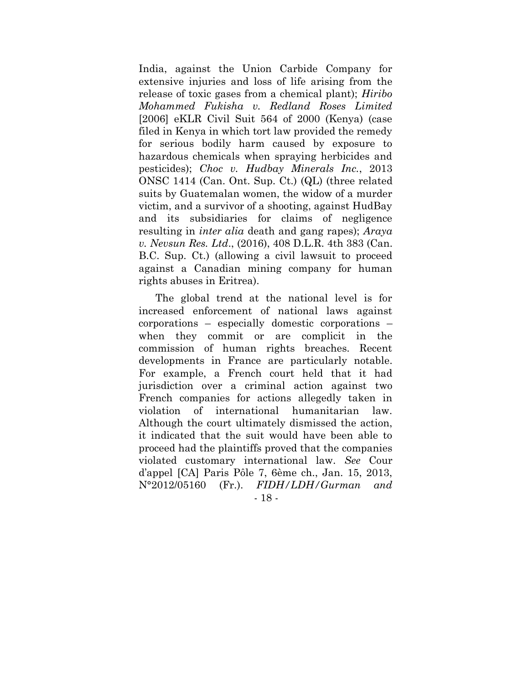India, against the Union Carbide Company for extensive injuries and loss of life arising from the release of toxic gases from a chemical plant); *Hiribo Mohammed Fukisha v. Redland Roses Limited*  [2006] eKLR Civil Suit 564 of 2000 (Kenya) (case filed in Kenya in which tort law provided the remedy for serious bodily harm caused by exposure to hazardous chemicals when spraying herbicides and pesticides); *Choc v. Hudbay Minerals Inc.*, 2013 ONSC 1414 (Can. Ont. Sup. Ct.) (QL) (three related suits by Guatemalan women, the widow of a murder victim, and a survivor of a shooting, against HudBay and its subsidiaries for claims of negligence resulting in *inter alia* death and gang rapes); *Araya v. Nevsun Res. Ltd*., (2016), 408 D.L.R. 4th 383 (Can. B.C. Sup. Ct.) (allowing a civil lawsuit to proceed against a Canadian mining company for human rights abuses in Eritrea).

- 18 - The global trend at the national level is for increased enforcement of national laws against corporations – especially domestic corporations – when they commit or are complicit in the commission of human rights breaches. Recent developments in France are particularly notable. For example, a French court held that it had jurisdiction over a criminal action against two French companies for actions allegedly taken in violation of international humanitarian law. Although the court ultimately dismissed the action, it indicated that the suit would have been able to proceed had the plaintiffs proved that the companies violated customary international law. *See* Cour d'appel [CA] Paris Pôle 7, 6ème ch., Jan. 15, 2013, N°2012/05160 (Fr.). *FIDH/LDH/Gurman and*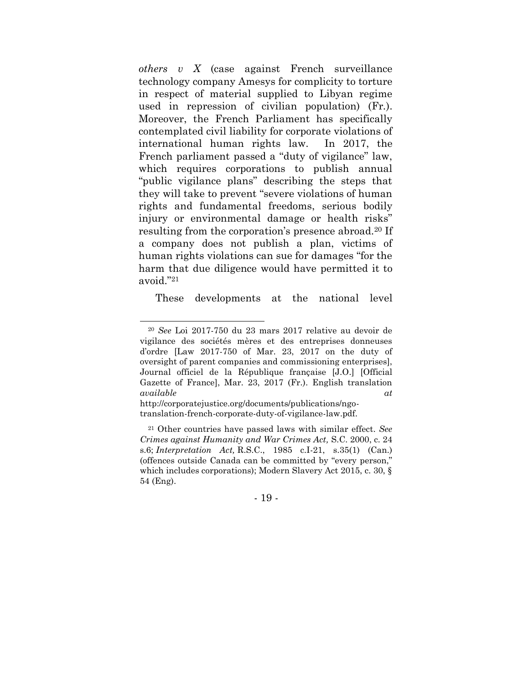*others v X* (case against French surveillance technology company Amesys for complicity to torture in respect of material supplied to Libyan regime used in repression of civilian population) (Fr*.*). Moreover, the French Parliament has specifically contemplated civil liability for corporate violations of international human rights law. In 2017, the French parliament passed a "duty of vigilance" law, which requires corporations to publish annual "public vigilance plans" describing the steps that they will take to prevent "severe violations of human rights and fundamental freedoms, serious bodily injury or environmental damage or health risks" resulting from the corporation's presence abroad.<sup>20</sup> If a company does not publish a plan, victims of human rights violations can sue for damages "for the harm that due diligence would have permitted it to avoid."<sup>21</sup>

These developments at the national level

- 19 -

<sup>20</sup> *See* Loi 2017-750 du 23 mars 2017 relative au devoir de vigilance des sociétés mères et des entreprises donneuses d'ordre [Law 2017-750 of Mar. 23, 2017 on the duty of oversight of parent companies and commissioning enterprises], Journal officiel de la République française [J.O.] [Official Gazette of France], Mar. 23, 2017 (Fr.). English translation *available at*

http://corporatejustice.org/documents/publications/ngotranslation-french-corporate-duty-of-vigilance-law.pdf.

<sup>21</sup> Other countries have passed laws with similar effect. *See Crimes against Humanity and War Crimes Act,* S.C. 2000, c. 24 s.6; *Interpretation Act,* R.S.C., 1985 c.I-21, s.35(1) (Can.) (offences outside Canada can be committed by "every person," which includes corporations); Modern Slavery Act 2015, c. 30, § 54 (Eng).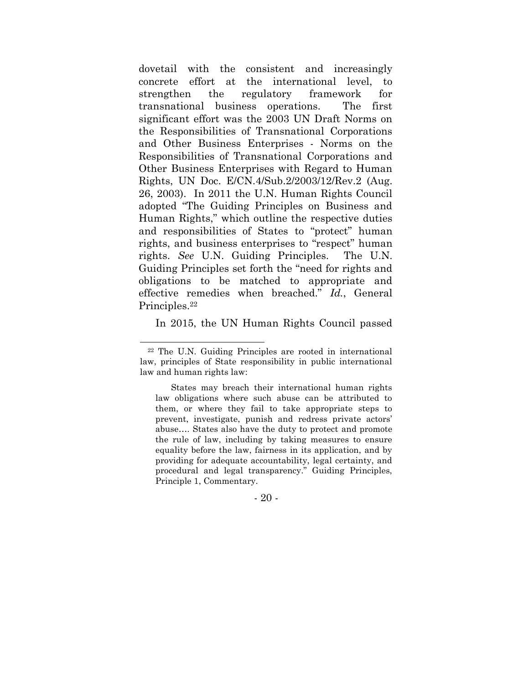dovetail with the consistent and increasingly concrete effort at the international level, to strengthen the regulatory framework for transnational business operations. The first significant effort was the 2003 UN Draft Norms on the Responsibilities of Transnational Corporations and Other Business Enterprises - Norms on the Responsibilities of Transnational Corporations and Other Business Enterprises with Regard to Human Rights, UN Doc. E/CN.4/Sub.2/2003/12/Rev.2 (Aug. 26, 2003). In 2011 the U.N. Human Rights Council adopted "The Guiding Principles on Business and Human Rights," which outline the respective duties and responsibilities of States to "protect" human rights, and business enterprises to "respect" human rights. *See* U.N. Guiding Principles. The U.N. Guiding Principles set forth the "need for rights and obligations to be matched to appropriate and effective remedies when breached." *Id.*, General Principles.<sup>22</sup>

In 2015, the UN Human Rights Council passed

- 20 -

<sup>22</sup> The U.N. Guiding Principles are rooted in international law, principles of State responsibility in public international law and human rights law:

States may breach their international human rights law obligations where such abuse can be attributed to them, or where they fail to take appropriate steps to prevent, investigate, punish and redress private actors' abuse…. States also have the duty to protect and promote the rule of law, including by taking measures to ensure equality before the law, fairness in its application, and by providing for adequate accountability, legal certainty, and procedural and legal transparency." Guiding Principles, Principle 1, Commentary.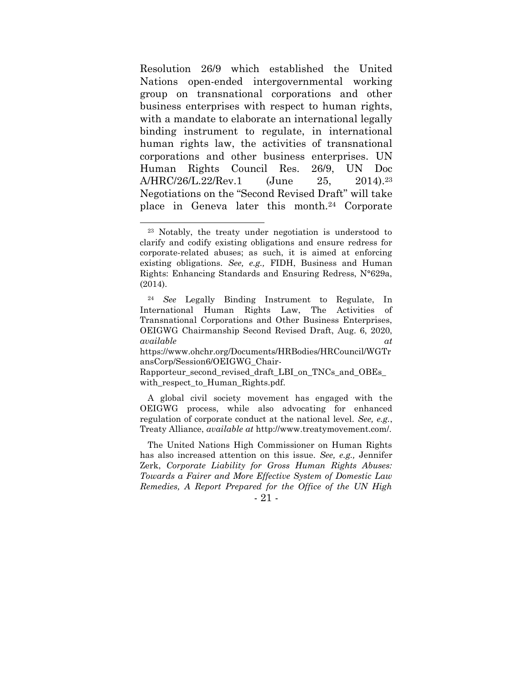Resolution 26/9 which established the United Nations open-ended intergovernmental working group on transnational corporations and other business enterprises with respect to human rights, with a mandate to elaborate an international legally binding instrument to regulate, in international human rights law, the activities of transnational corporations and other business enterprises. UN Human Rights Council Res. 26/9, UN Doc A/HRC/26/L.22/Rev.1 (June 25, 2014).<sup>23</sup> Negotiations on the "Second Revised Draft" will take place in Geneva later this month.<sup>24</sup> Corporate

A global civil society movement has engaged with the OEIGWG process, while also advocating for enhanced regulation of corporate conduct at the national level. *See, e.g.*, Treaty Alliance, *available at* http://www.treatymovement.com/.

<sup>23</sup> Notably, the treaty under negotiation is understood to clarify and codify existing obligations and ensure redress for corporate-related abuses; as such, it is aimed at enforcing existing obligations. *See, e.g.,* FIDH, Business and Human Rights: Enhancing Standards and Ensuring Redress, N°629a, (2014).

<sup>24</sup> *See* Legally Binding Instrument to Regulate, In International Human Rights Law, The Activities of Transnational Corporations and Other Business Enterprises, OEIGWG Chairmanship Second Revised Draft, Aug. 6, 2020, *available at*

https://www.ohchr.org/Documents/HRBodies/HRCouncil/WGTr ansCorp/Session6/OEIGWG\_Chair-

Rapporteur\_second\_revised\_draft\_LBI\_on\_TNCs\_and\_OBEs\_ with respect to Human Rights.pdf.

The United Nations High Commissioner on Human Rights has also increased attention on this issue. *See, e.g.,* Jennifer Zerk, *Corporate Liability for Gross Human Rights Abuses: Towards a Fairer and More Effective System of Domestic Law Remedies, A Report Prepared for the Office of the UN High* 

<sup>-</sup> 21 -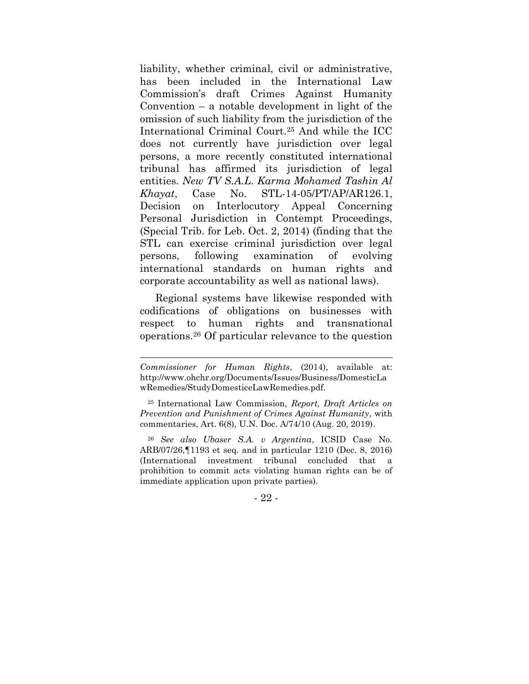liability, whether criminal, civil or administrative, has been included in the International Law Commission's draft Crimes Against Humanity Convention – a notable development in light of the omission of such liability from the jurisdiction of the International Criminal Court.<sup>25</sup> And while the ICC does not currently have jurisdiction over legal persons, a more recently constituted international tribunal has affirmed its jurisdiction of legal entities. *New TV S.A.L. Karma Mohamed Tashin Al Khayat*, Case No. STL-14-05/PT/AP/AR126.1, Decision on Interlocutory Appeal Concerning Personal Jurisdiction in Contempt Proceedings, (Special Trib. for Leb. Oct. 2, 2014) (finding that the STL can exercise criminal jurisdiction over legal persons, following examination of evolving international standards on human rights and corporate accountability as well as national laws).

Regional systems have likewise responded with codifications of obligations on businesses with respect to human rights and transnational operations.<sup>26</sup> Of particular relevance to the question

*Commissioner for Human Rights*, (2014), available at: http://www.ohchr.org/Documents/Issues/Business/DomesticLa wRemedies/StudyDomesticeLawRemedies.pdf.

<sup>25</sup> International Law Commission, *Report, Draft Articles on Prevention and Punishment of Crimes Against Humanity*, with commentaries, Art. 6(8), U.N. Doc. A/74/10 (Aug. 20, 2019).

<sup>26</sup> *See also Ubaser S.A. v Argentina*, ICSID Case No. ARB/07/26,¶1193 et seq. and in particular 1210 (Dec. 8, 2016) (International investment tribunal concluded that a prohibition to commit acts violating human rights can be of immediate application upon private parties).

<sup>-</sup> 22 -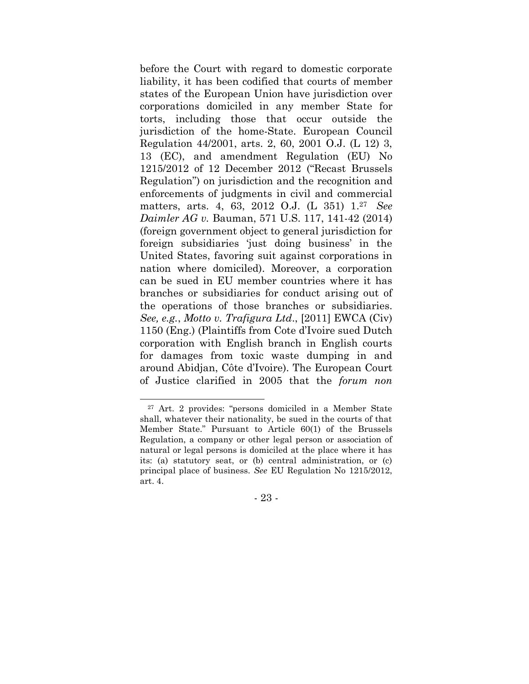before the Court with regard to domestic corporate liability, it has been codified that courts of member states of the European Union have jurisdiction over corporations domiciled in any member State for torts, including those that occur outside the jurisdiction of the home-State. European Council Regulation 44/2001, arts. 2, 60, 2001 O.J. (L 12) 3, 13 (EC), and amendment Regulation (EU) No 1215/2012 of 12 December 2012 ("Recast Brussels Regulation") on jurisdiction and the recognition and enforcements of judgments in civil and commercial matters, arts. 4, 63, 2012 O.J. (L 351) 1. <sup>27</sup> *See Daimler AG v.* Bauman, 571 U.S. 117, 141-42 (2014) (foreign government object to general jurisdiction for foreign subsidiaries 'just doing business' in the United States, favoring suit against corporations in nation where domiciled). Moreover, a corporation can be sued in EU member countries where it has branches or subsidiaries for conduct arising out of the operations of those branches or subsidiaries. *See, e.g.*, *Motto v. Trafigura Ltd*., [2011] EWCA (Civ) 1150 (Eng.) (Plaintiffs from Cote d'Ivoire sued Dutch corporation with English branch in English courts for damages from toxic waste dumping in and around Abidjan, Côte d'Ivoire). The European Court of Justice clarified in 2005 that the *forum non* 

- 23 -

<sup>27</sup> Art. 2 provides: "persons domiciled in a Member State shall, whatever their nationality, be sued in the courts of that Member State." Pursuant to Article 60(1) of the Brussels Regulation, a company or other legal person or association of natural or legal persons is domiciled at the place where it has its: (a) statutory seat, or (b) central administration, or (c) principal place of business. *See* EU Regulation No 1215/2012, art. 4.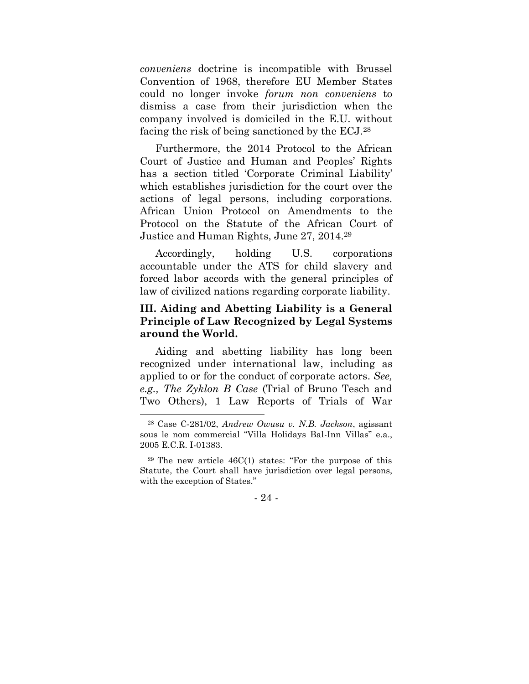*conveniens* doctrine is incompatible with Brussel Convention of 1968, therefore EU Member States could no longer invoke *forum non conveniens* to dismiss a case from their jurisdiction when the company involved is domiciled in the E.U. without facing the risk of being sanctioned by the ECJ.<sup>28</sup>

Furthermore, the 2014 Protocol to the African Court of Justice and Human and Peoples' Rights has a section titled 'Corporate Criminal Liability' which establishes jurisdiction for the court over the actions of legal persons, including corporations. African Union Protocol on Amendments to the Protocol on the Statute of the African Court of Justice and Human Rights, June 27, 2014.<sup>29</sup>

Accordingly, holding U.S. corporations accountable under the ATS for child slavery and forced labor accords with the general principles of law of civilized nations regarding corporate liability.

#### **III. Aiding and Abetting Liability is a General Principle of Law Recognized by Legal Systems around the World.**

Aiding and abetting liability has long been recognized under international law, including as applied to or for the conduct of corporate actors. *See, e.g., The Zyklon B Case* (Trial of Bruno Tesch and Two Others), 1 Law Reports of Trials of War

 $29$  The new article  $46C(1)$  states: "For the purpose of this Statute, the Court shall have jurisdiction over legal persons, with the exception of States."



<sup>28</sup> Case C-281/02, *Andrew Owusu v. N.B. Jackson*, agissant sous le nom commercial "Villa Holidays Bal-Inn Villas" e.a., 2005 E.C.R. I-01383.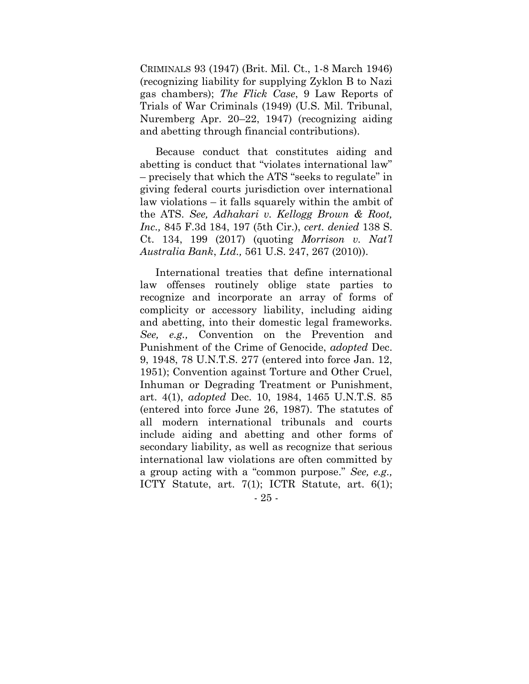CRIMINALS 93 (1947) (Brit. Mil. Ct., 1-8 March 1946) (recognizing liability for supplying Zyklon B to Nazi gas chambers); *The Flick Case*, 9 Law Reports of Trials of War Criminals (1949) (U.S. Mil. Tribunal, Nuremberg Apr. 20–22, 1947) (recognizing aiding and abetting through financial contributions).

Because conduct that constitutes aiding and abetting is conduct that "violates international law" – precisely that which the ATS "seeks to regulate" in giving federal courts jurisdiction over international law violations – it falls squarely within the ambit of the ATS. *See, Adhakari v. Kellogg Brown & Root, Inc.,* 845 F.3d 184, 197 (5th Cir.), *cert. denied* 138 S. Ct. 134, 199 (2017) (quoting *Morrison v. Nat'l Australia Bank*, *Ltd.,* 561 U.S. 247, 267 (2010)).

International treaties that define international law offenses routinely oblige state parties to recognize and incorporate an array of forms of complicity or accessory liability, including aiding and abetting, into their domestic legal frameworks. *See, e.g.,* Convention on the Prevention and Punishment of the Crime of Genocide, *adopted* Dec. 9, 1948, 78 U.N.T.S. 277 (entered into force Jan. 12, 1951); Convention against Torture and Other Cruel, Inhuman or Degrading Treatment or Punishment, art. 4(1), *adopted* Dec. 10, 1984, 1465 U.N.T.S. 85 (entered into force June 26, 1987). The statutes of all modern international tribunals and courts include aiding and abetting and other forms of secondary liability, as well as recognize that serious international law violations are often committed by a group acting with a "common purpose." *See, e.g.,*  ICTY Statute, art. 7(1); ICTR Statute, art. 6(1);

- 25 -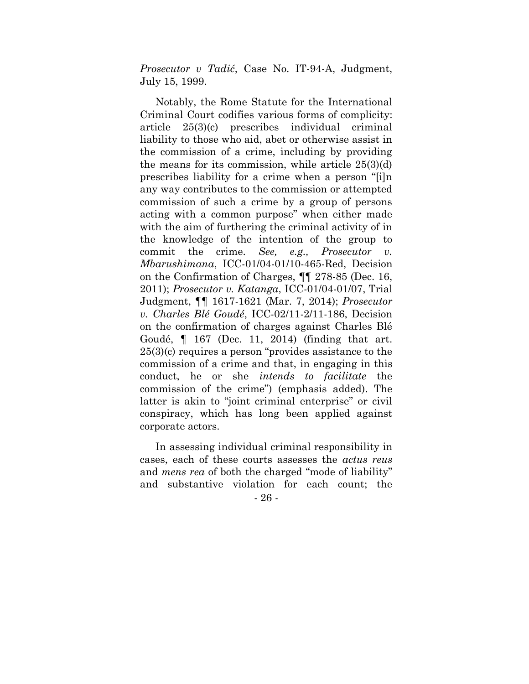*Prosecutor v Tadić*, Case No. IT-94-A, Judgment, July 15, 1999.

Notably, the Rome Statute for the International Criminal Court codifies various forms of complicity: article 25(3)(c) prescribes individual criminal liability to those who aid, abet or otherwise assist in the commission of a crime, including by providing the means for its commission, while article  $25(3)(d)$ prescribes liability for a crime when a person "[i]n any way contributes to the commission or attempted commission of such a crime by a group of persons acting with a common purpose" when either made with the aim of furthering the criminal activity of in the knowledge of the intention of the group to commit the crime. *See, e.g., Prosecutor v. Mbarushimana*, ICC-01/04-01/10-465-Red, Decision on the Confirmation of Charges, ¶¶ 278-85 (Dec. 16, 2011); *Prosecutor v. Katanga*, ICC-01/04-01/07, Trial Judgment, ¶¶ 1617-1621 (Mar. 7, 2014); *Prosecutor v. Charles Blé Goudé*, ICC-02/11-2/11-186, Decision on the confirmation of charges against Charles Blé Goudé, ¶ 167 (Dec. 11, 2014) (finding that art. 25(3)(c) requires a person "provides assistance to the commission of a crime and that, in engaging in this conduct, he or she *intends to facilitate* the commission of the crime") (emphasis added). The latter is akin to "joint criminal enterprise" or civil conspiracy, which has long been applied against corporate actors.

In assessing individual criminal responsibility in cases, each of these courts assesses the *actus reus*  and *mens rea* of both the charged "mode of liability" and substantive violation for each count; the

- 26 -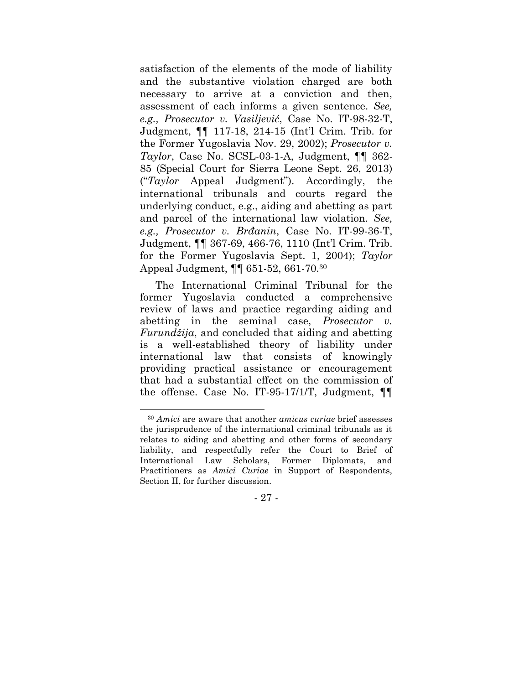satisfaction of the elements of the mode of liability and the substantive violation charged are both necessary to arrive at a conviction and then, assessment of each informs a given sentence. *See, e.g., Prosecutor v. Vasiljević*, Case No. IT-98-32-T, Judgment, ¶¶ 117-18, 214-15 (Int'l Crim. Trib. for the Former Yugoslavia Nov. 29, 2002); *Prosecutor v. Taylor*, Case No. SCSL-03-1-A, Judgment, ¶¶ 362- 85 (Special Court for Sierra Leone Sept. 26, 2013) ("*Taylor* Appeal Judgment"). Accordingly, the international tribunals and courts regard the underlying conduct, e.g., aiding and abetting as part and parcel of the international law violation. *See, e.g., Prosecutor v. Brđanin*, Case No. IT-99-36-T, Judgment, ¶¶ 367-69, 466-76, 1110 (Int'l Crim. Trib. for the Former Yugoslavia Sept. 1, 2004); *Taylor*  Appeal Judgment, ¶¶ 651-52, 661-70.<sup>30</sup>

The International Criminal Tribunal for the former Yugoslavia conducted a comprehensive review of laws and practice regarding aiding and abetting in the seminal case, *Prosecutor v. Furundžija*, and concluded that aiding and abetting is a well-established theory of liability under international law that consists of knowingly providing practical assistance or encouragement that had a substantial effect on the commission of the offense. Case No. IT-95-17/1/T, Judgment, ¶¶

- 27 -

<sup>30</sup> *Amici* are aware that another *amicus curiae* brief assesses the jurisprudence of the international criminal tribunals as it relates to aiding and abetting and other forms of secondary liability, and respectfully refer the Court to Brief of International Law Scholars, Former Diplomats, and Practitioners as *Amici Curiae* in Support of Respondents, Section II, for further discussion.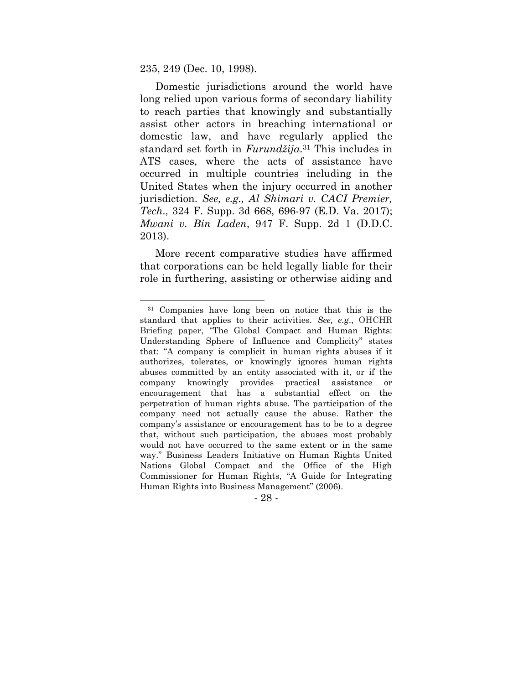235, 249 (Dec. 10, 1998).

Domestic jurisdictions around the world have long relied upon various forms of secondary liability to reach parties that knowingly and substantially assist other actors in breaching international or domestic law, and have regularly applied the standard set forth in *Furundžija*. <sup>31</sup> This includes in ATS cases, where the acts of assistance have occurred in multiple countries including in the United States when the injury occurred in another jurisdiction. *See, e.g., Al Shimari v. CACI Premier, Tech*., 324 F. Supp. 3d 668, 696-97 (E.D. Va. 2017); *Mwani v. Bin Laden*, 947 F. Supp. 2d 1 (D.D.C. 2013).

More recent comparative studies have affirmed that corporations can be held legally liable for their role in furthering, assisting or otherwise aiding and

<sup>31</sup> Companies have long been on notice that this is the standard that applies to their activities. *See, e.g.,* OHCHR Briefing paper, "The Global Compact and Human Rights: Understanding Sphere of Influence and Complicity" states that: "A company is complicit in human rights abuses if it authorizes, tolerates, or knowingly ignores human rights abuses committed by an entity associated with it, or if the company knowingly provides practical assistance or encouragement that has a substantial effect on the perpetration of human rights abuse. The participation of the company need not actually cause the abuse. Rather the company's assistance or encouragement has to be to a degree that, without such participation, the abuses most probably would not have occurred to the same extent or in the same way." Business Leaders Initiative on Human Rights United Nations Global Compact and the Office of the High Commissioner for Human Rights, "A Guide for Integrating Human Rights into Business Management" (2006).

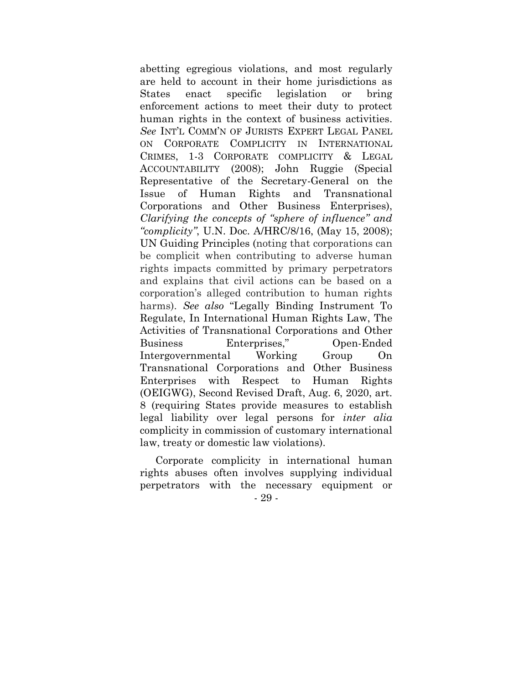abetting egregious violations, and most regularly are held to account in their home jurisdictions as States enact specific legislation or bring enforcement actions to meet their duty to protect human rights in the context of business activities. *See* INT'L COMM'N OF JURISTS EXPERT LEGAL PANEL ON CORPORATE COMPLICITY IN INTERNATIONAL CRIMES, 1-3 CORPORATE COMPLICITY & LEGAL ACCOUNTABILITY (2008); John Ruggie (Special Representative of the Secretary-General on the Issue of Human Rights and Transnational Corporations and Other Business Enterprises), *Clarifying the concepts of "sphere of influence" and "complicity"*, U.N. Doc. A/HRC/8/16, (May 15, 2008); UN Guiding Principles (noting that corporations can be complicit when contributing to adverse human rights impacts committed by primary perpetrators and explains that civil actions can be based on a corporation's alleged contribution to human rights harms). *See also* "Legally Binding Instrument To Regulate, In International Human Rights Law, The Activities of Transnational Corporations and Other Business Enterprises," Open-Ended Intergovernmental Working Group On Transnational Corporations and Other Business Enterprises with Respect to Human Rights (OEIGWG), Second Revised Draft, Aug. 6, 2020, art. 8 (requiring States provide measures to establish legal liability over legal persons for *inter alia*  complicity in commission of customary international law, treaty or domestic law violations).

- 29 - Corporate complicity in international human rights abuses often involves supplying individual perpetrators with the necessary equipment or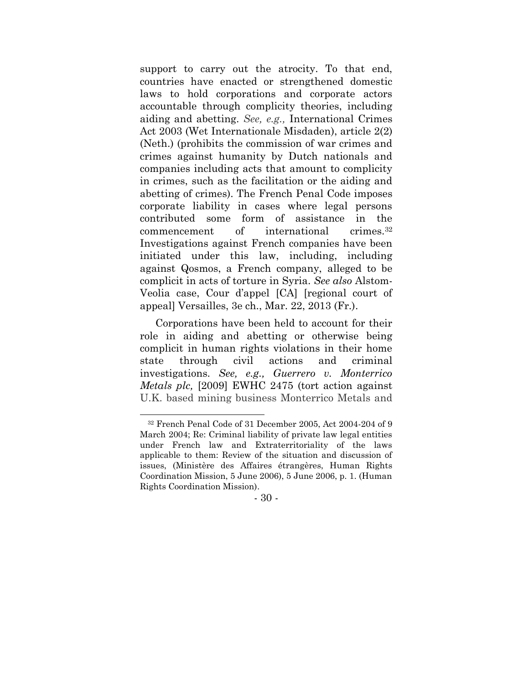support to carry out the atrocity. To that end, countries have enacted or strengthened domestic laws to hold corporations and corporate actors accountable through complicity theories, including aiding and abetting. *See, e.g.,* International Crimes Act 2003 (Wet Internationale Misdaden), article 2(2) (Neth.) (prohibits the commission of war crimes and crimes against humanity by Dutch nationals and companies including acts that amount to complicity in crimes, such as the facilitation or the aiding and abetting of crimes). The French Penal Code imposes corporate liability in cases where legal persons contributed some form of assistance in the commencement of international crimes.<sup>32</sup> Investigations against French companies have been initiated under this law, including, including against Qosmos, a French company, alleged to be complicit in acts of torture in Syria. *See also* Alstom-Veolia case, Cour d'appel [CA] [regional court of appeal] Versailles, 3e ch., Mar. 22, 2013 (Fr.).

Corporations have been held to account for their role in aiding and abetting or otherwise being complicit in human rights violations in their home state through civil actions and criminal investigations. *See, e.g., Guerrero v. Monterrico Metals plc,* [2009] EWHC 2475 (tort action against U.K. based mining business Monterrico Metals and

- 30 -

<sup>32</sup> French Penal Code of 31 December 2005, Act 2004-204 of 9 March 2004; Re: Criminal liability of private law legal entities under French law and Extraterritoriality of the laws applicable to them: Review of the situation and discussion of issues, (Ministère des Affaires étrangères, Human Rights Coordination Mission, 5 June 2006), 5 June 2006, p. 1. (Human Rights Coordination Mission).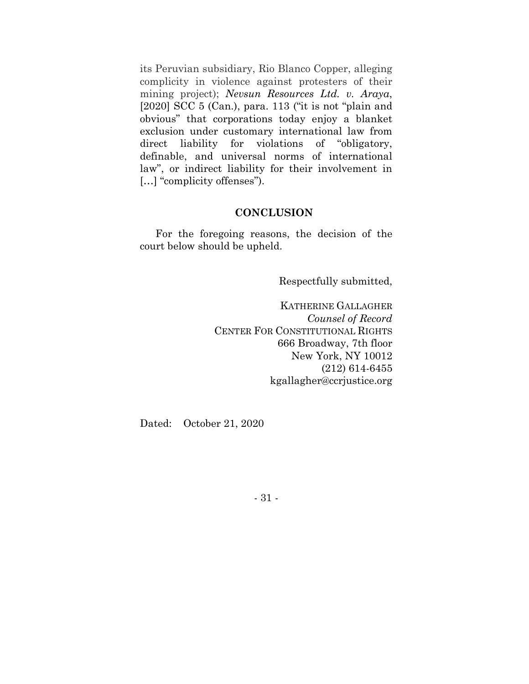its Peruvian subsidiary, Rio Blanco Copper, alleging complicity in violence against protesters of their mining project); *Nevsun Resources Ltd. v. Araya*, [2020] SCC 5 (Can.), para. 113 ("it is not "plain and obvious" that corporations today enjoy a blanket exclusion under customary international law from direct liability for violations of "obligatory, definable, and universal norms of international law", or indirect liability for their involvement in [...] "complicity offenses").

#### **CONCLUSION**

For the foregoing reasons, the decision of the court below should be upheld.

Respectfully submitted,

KATHERINE GALLAGHER *Counsel of Record* CENTER FOR CONSTITUTIONAL RIGHTS 666 Broadway, 7th floor New York, NY 10012 (212) 614-6455 kgallagher@ccrjustice.org

Dated: October 21, 2020

- 31 -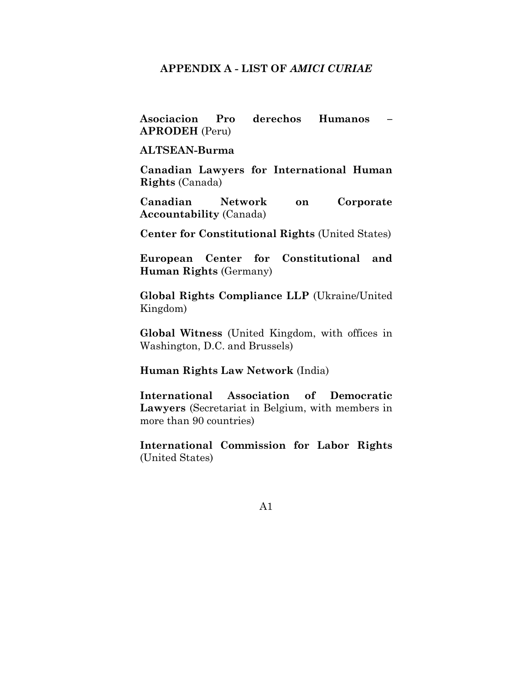#### **APPENDIX A - LIST OF** *AMICI CURIAE*

**Asociacion Pro derechos Humanos – APRODEH** (Peru)

#### **ALTSEAN-Burma**

**Canadian Lawyers for International Human Rights** (Canada)

**Canadian Network on Corporate Accountability** (Canada)

**Center for Constitutional Rights** (United States)

**European Center for Constitutional and Human Rights** (Germany)

**Global Rights Compliance LLP** (Ukraine/United Kingdom)

**Global Witness** (United Kingdom, with offices in Washington, D.C. and Brussels)

#### **Human Rights Law Network** (India)

**International Association of Democratic Lawyers** (Secretariat in Belgium, with members in more than 90 countries)

**International Commission for Labor Rights** (United States)

A1